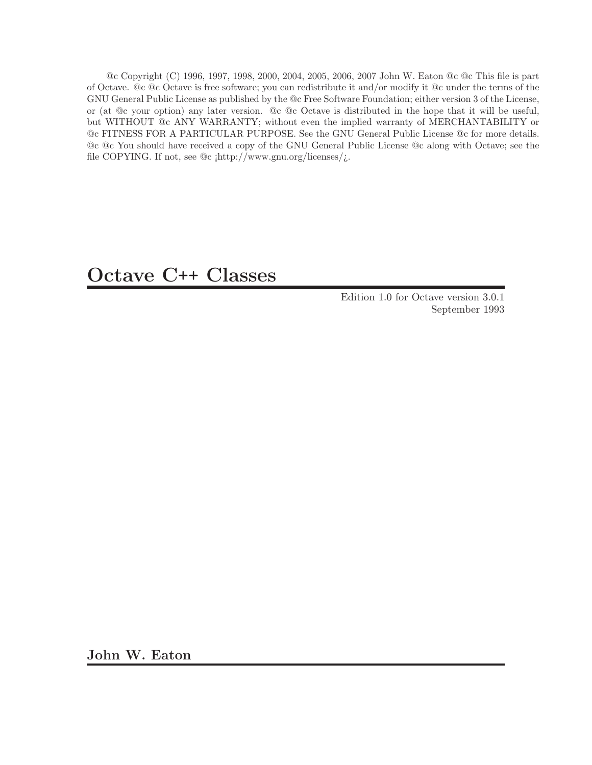@c Copyright (C) 1996, 1997, 1998, 2000, 2004, 2005, 2006, 2007 John W. Eaton @c @c This file is part of Octave. @c @c Octave is free software; you can redistribute it and/or modify it @c under the terms of the GNU General Public License as published by the @c Free Software Foundation; either version 3 of the License, or (at @c your option) any later version. @c @c Octave is distributed in the hope that it will be useful, but WITHOUT @c ANY WARRANTY; without even the implied warranty of MERCHANTABILITY or @c FITNESS FOR A PARTICULAR PURPOSE. See the GNU General Public License @c for more details. @c @c You should have received a copy of the GNU General Public License @c along with Octave; see the file COPYING. If not, see  $@c$   $[http://www.gnu.org/licenses/j.]$ 

# Octave C++ Classes

Edition 1.0 for Octave version 3.0.1 September 1993

John W. Eaton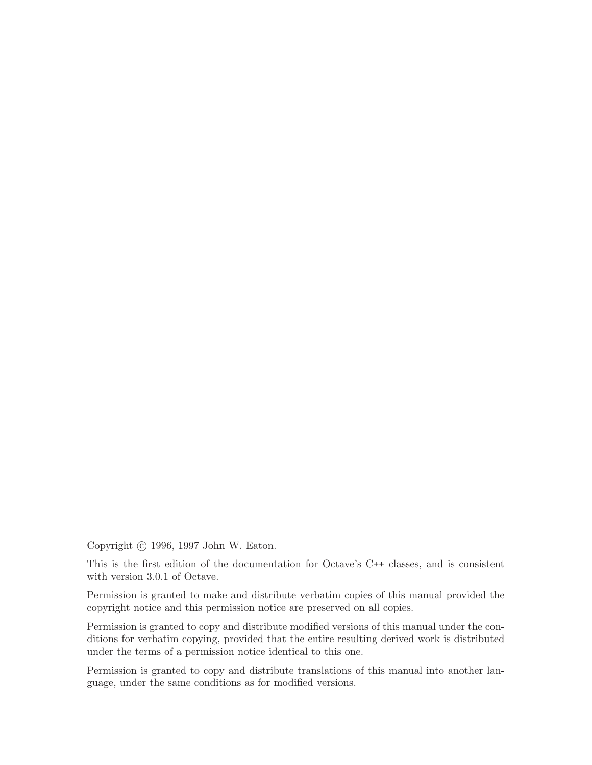Copyright © 1996, 1997 John W. Eaton.

This is the first edition of the documentation for Octave's C++ classes, and is consistent with version 3.0.1 of Octave.

Permission is granted to make and distribute verbatim copies of this manual provided the copyright notice and this permission notice are preserved on all copies.

Permission is granted to copy and distribute modified versions of this manual under the conditions for verbatim copying, provided that the entire resulting derived work is distributed under the terms of a permission notice identical to this one.

Permission is granted to copy and distribute translations of this manual into another language, under the same conditions as for modified versions.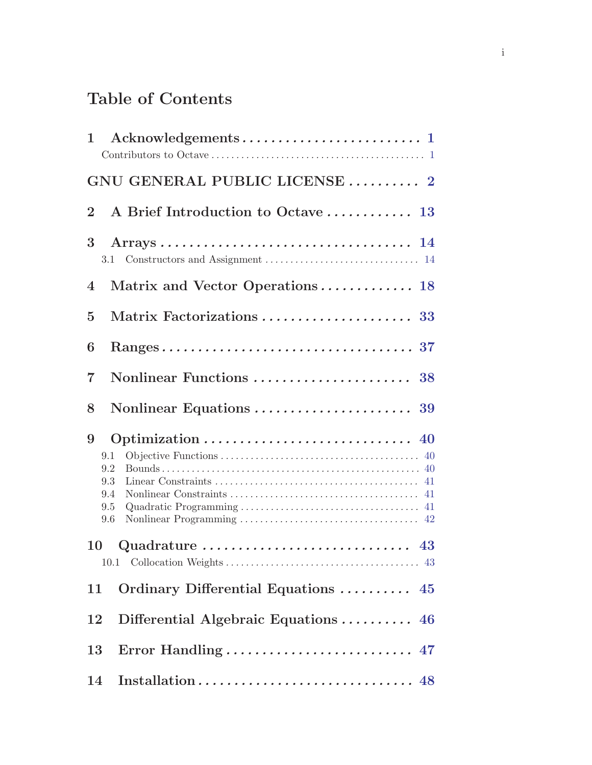# Table of Contents

| 1                                                                                                                               |
|---------------------------------------------------------------------------------------------------------------------------------|
| GNU GENERAL PUBLIC LICENSE  2                                                                                                   |
| $\bf{2}$                                                                                                                        |
| 3<br>3.1                                                                                                                        |
| Matrix and Vector Operations 18<br>$\overline{4}$                                                                               |
| $\overline{5}$                                                                                                                  |
| 6                                                                                                                               |
| $\overline{7}$                                                                                                                  |
| 8                                                                                                                               |
| Optimization $\ldots \ldots \ldots \ldots \ldots \ldots \ldots \ldots \ldots$ 40<br>9<br>9.1<br>9.2<br>9.3<br>9.4<br>9.5<br>9.6 |
| Quadrature $\dots \dots \dots \dots \dots \dots \dots \dots \dots$ 43<br>10                                                     |
| Ordinary Differential Equations  45<br>11                                                                                       |
| Differential Algebraic Equations $\ldots \ldots \ldots$ 46<br>12                                                                |
| Error Handling  47<br>13                                                                                                        |
| 14                                                                                                                              |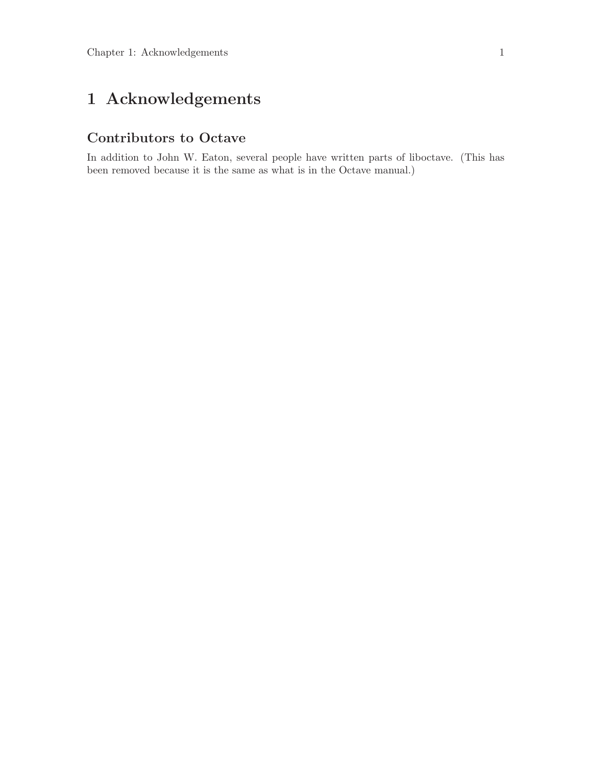# <span id="page-4-0"></span>1 Acknowledgements

#### Contributors to Octave

In addition to John W. Eaton, several people have written parts of liboctave. (This has been removed because it is the same as what is in the Octave manual.)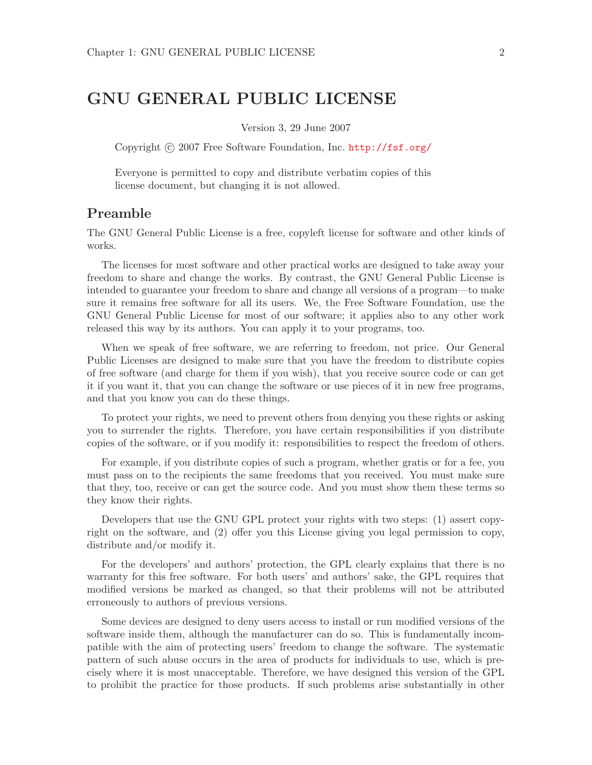### <span id="page-5-0"></span>GNU GENERAL PUBLIC LICENSE

Version 3, 29 June 2007

Copyright © 2007 Free Software Foundation, Inc. <http://fsf.org/>

Everyone is permitted to copy and distribute verbatim copies of this license document, but changing it is not allowed.

#### Preamble

The GNU General Public License is a free, copyleft license for software and other kinds of works.

The licenses for most software and other practical works are designed to take away your freedom to share and change the works. By contrast, the GNU General Public License is intended to guarantee your freedom to share and change all versions of a program—to make sure it remains free software for all its users. We, the Free Software Foundation, use the GNU General Public License for most of our software; it applies also to any other work released this way by its authors. You can apply it to your programs, too.

When we speak of free software, we are referring to freedom, not price. Our General Public Licenses are designed to make sure that you have the freedom to distribute copies of free software (and charge for them if you wish), that you receive source code or can get it if you want it, that you can change the software or use pieces of it in new free programs, and that you know you can do these things.

To protect your rights, we need to prevent others from denying you these rights or asking you to surrender the rights. Therefore, you have certain responsibilities if you distribute copies of the software, or if you modify it: responsibilities to respect the freedom of others.

For example, if you distribute copies of such a program, whether gratis or for a fee, you must pass on to the recipients the same freedoms that you received. You must make sure that they, too, receive or can get the source code. And you must show them these terms so they know their rights.

Developers that use the GNU GPL protect your rights with two steps: (1) assert copyright on the software, and (2) offer you this License giving you legal permission to copy, distribute and/or modify it.

For the developers' and authors' protection, the GPL clearly explains that there is no warranty for this free software. For both users' and authors' sake, the GPL requires that modified versions be marked as changed, so that their problems will not be attributed erroneously to authors of previous versions.

Some devices are designed to deny users access to install or run modified versions of the software inside them, although the manufacturer can do so. This is fundamentally incompatible with the aim of protecting users' freedom to change the software. The systematic pattern of such abuse occurs in the area of products for individuals to use, which is precisely where it is most unacceptable. Therefore, we have designed this version of the GPL to prohibit the practice for those products. If such problems arise substantially in other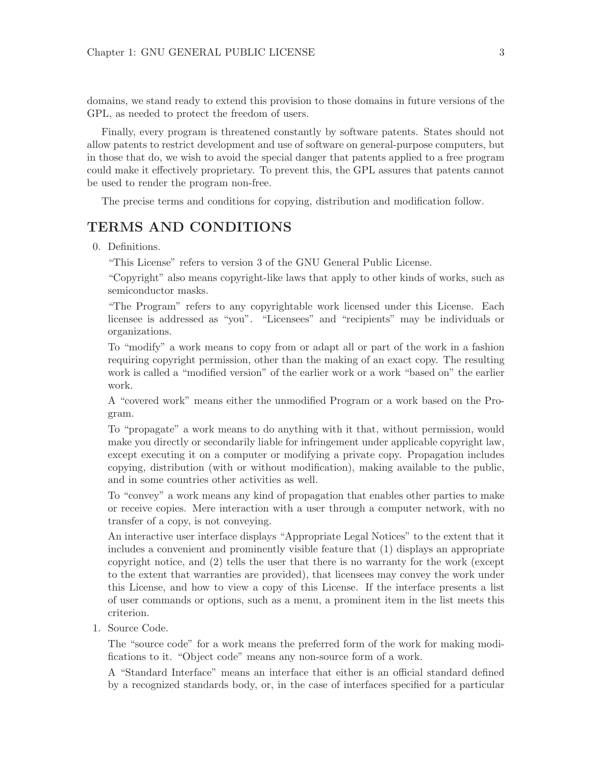domains, we stand ready to extend this provision to those domains in future versions of the GPL, as needed to protect the freedom of users.

Finally, every program is threatened constantly by software patents. States should not allow patents to restrict development and use of software on general-purpose computers, but in those that do, we wish to avoid the special danger that patents applied to a free program could make it effectively proprietary. To prevent this, the GPL assures that patents cannot be used to render the program non-free.

The precise terms and conditions for copying, distribution and modification follow.

#### TERMS AND CONDITIONS

0. Definitions.

"This License" refers to version 3 of the GNU General Public License.

"Copyright" also means copyright-like laws that apply to other kinds of works, such as semiconductor masks.

"The Program" refers to any copyrightable work licensed under this License. Each licensee is addressed as "you". "Licensees" and "recipients" may be individuals or organizations.

To "modify" a work means to copy from or adapt all or part of the work in a fashion requiring copyright permission, other than the making of an exact copy. The resulting work is called a "modified version" of the earlier work or a work "based on" the earlier work.

A "covered work" means either the unmodified Program or a work based on the Program.

To "propagate" a work means to do anything with it that, without permission, would make you directly or secondarily liable for infringement under applicable copyright law, except executing it on a computer or modifying a private copy. Propagation includes copying, distribution (with or without modification), making available to the public, and in some countries other activities as well.

To "convey" a work means any kind of propagation that enables other parties to make or receive copies. Mere interaction with a user through a computer network, with no transfer of a copy, is not conveying.

An interactive user interface displays "Appropriate Legal Notices" to the extent that it includes a convenient and prominently visible feature that (1) displays an appropriate copyright notice, and (2) tells the user that there is no warranty for the work (except to the extent that warranties are provided), that licensees may convey the work under this License, and how to view a copy of this License. If the interface presents a list of user commands or options, such as a menu, a prominent item in the list meets this criterion.

1. Source Code.

The "source code" for a work means the preferred form of the work for making modifications to it. "Object code" means any non-source form of a work.

A "Standard Interface" means an interface that either is an official standard defined by a recognized standards body, or, in the case of interfaces specified for a particular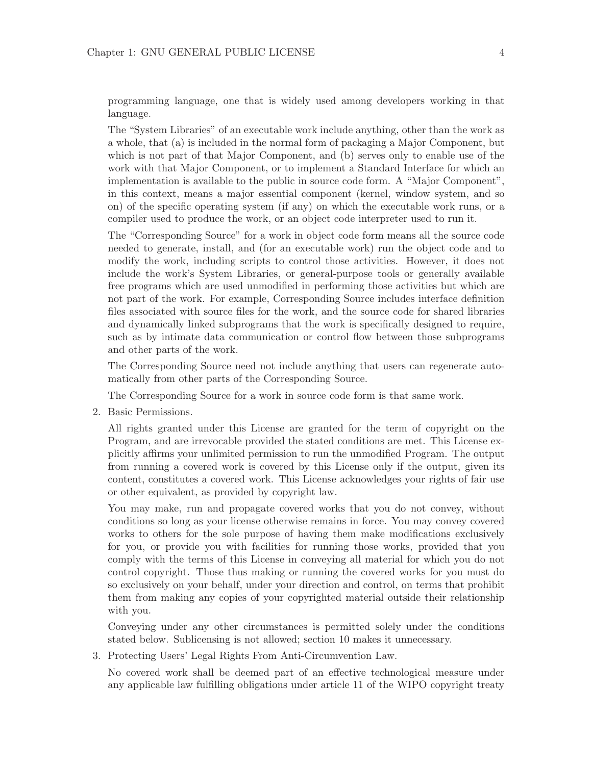programming language, one that is widely used among developers working in that language.

The "System Libraries" of an executable work include anything, other than the work as a whole, that (a) is included in the normal form of packaging a Major Component, but which is not part of that Major Component, and (b) serves only to enable use of the work with that Major Component, or to implement a Standard Interface for which an implementation is available to the public in source code form. A "Major Component", in this context, means a major essential component (kernel, window system, and so on) of the specific operating system (if any) on which the executable work runs, or a compiler used to produce the work, or an object code interpreter used to run it.

The "Corresponding Source" for a work in object code form means all the source code needed to generate, install, and (for an executable work) run the object code and to modify the work, including scripts to control those activities. However, it does not include the work's System Libraries, or general-purpose tools or generally available free programs which are used unmodified in performing those activities but which are not part of the work. For example, Corresponding Source includes interface definition files associated with source files for the work, and the source code for shared libraries and dynamically linked subprograms that the work is specifically designed to require, such as by intimate data communication or control flow between those subprograms and other parts of the work.

The Corresponding Source need not include anything that users can regenerate automatically from other parts of the Corresponding Source.

The Corresponding Source for a work in source code form is that same work.

2. Basic Permissions.

All rights granted under this License are granted for the term of copyright on the Program, and are irrevocable provided the stated conditions are met. This License explicitly affirms your unlimited permission to run the unmodified Program. The output from running a covered work is covered by this License only if the output, given its content, constitutes a covered work. This License acknowledges your rights of fair use or other equivalent, as provided by copyright law.

You may make, run and propagate covered works that you do not convey, without conditions so long as your license otherwise remains in force. You may convey covered works to others for the sole purpose of having them make modifications exclusively for you, or provide you with facilities for running those works, provided that you comply with the terms of this License in conveying all material for which you do not control copyright. Those thus making or running the covered works for you must do so exclusively on your behalf, under your direction and control, on terms that prohibit them from making any copies of your copyrighted material outside their relationship with you.

Conveying under any other circumstances is permitted solely under the conditions stated below. Sublicensing is not allowed; section 10 makes it unnecessary.

3. Protecting Users' Legal Rights From Anti-Circumvention Law.

No covered work shall be deemed part of an effective technological measure under any applicable law fulfilling obligations under article 11 of the WIPO copyright treaty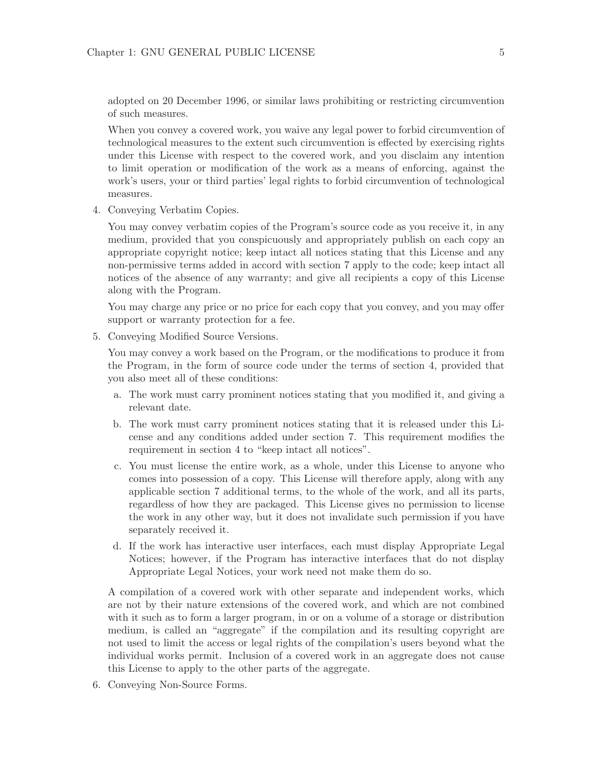adopted on 20 December 1996, or similar laws prohibiting or restricting circumvention of such measures.

When you convey a covered work, you waive any legal power to forbid circumvention of technological measures to the extent such circumvention is effected by exercising rights under this License with respect to the covered work, and you disclaim any intention to limit operation or modification of the work as a means of enforcing, against the work's users, your or third parties' legal rights to forbid circumvention of technological measures.

4. Conveying Verbatim Copies.

You may convey verbatim copies of the Program's source code as you receive it, in any medium, provided that you conspicuously and appropriately publish on each copy an appropriate copyright notice; keep intact all notices stating that this License and any non-permissive terms added in accord with section 7 apply to the code; keep intact all notices of the absence of any warranty; and give all recipients a copy of this License along with the Program.

You may charge any price or no price for each copy that you convey, and you may offer support or warranty protection for a fee.

5. Conveying Modified Source Versions.

You may convey a work based on the Program, or the modifications to produce it from the Program, in the form of source code under the terms of section 4, provided that you also meet all of these conditions:

- a. The work must carry prominent notices stating that you modified it, and giving a relevant date.
- b. The work must carry prominent notices stating that it is released under this License and any conditions added under section 7. This requirement modifies the requirement in section 4 to "keep intact all notices".
- c. You must license the entire work, as a whole, under this License to anyone who comes into possession of a copy. This License will therefore apply, along with any applicable section 7 additional terms, to the whole of the work, and all its parts, regardless of how they are packaged. This License gives no permission to license the work in any other way, but it does not invalidate such permission if you have separately received it.
- d. If the work has interactive user interfaces, each must display Appropriate Legal Notices; however, if the Program has interactive interfaces that do not display Appropriate Legal Notices, your work need not make them do so.

A compilation of a covered work with other separate and independent works, which are not by their nature extensions of the covered work, and which are not combined with it such as to form a larger program, in or on a volume of a storage or distribution medium, is called an "aggregate" if the compilation and its resulting copyright are not used to limit the access or legal rights of the compilation's users beyond what the individual works permit. Inclusion of a covered work in an aggregate does not cause this License to apply to the other parts of the aggregate.

6. Conveying Non-Source Forms.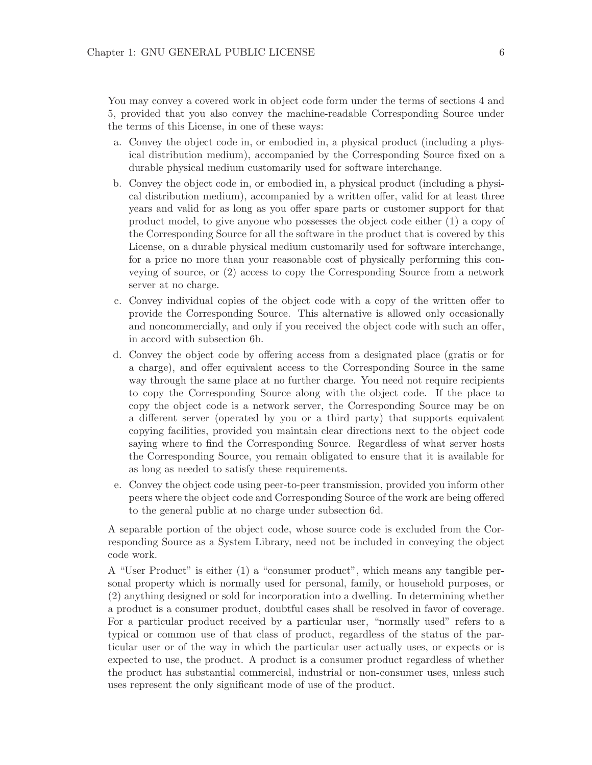You may convey a covered work in object code form under the terms of sections 4 and 5, provided that you also convey the machine-readable Corresponding Source under the terms of this License, in one of these ways:

- a. Convey the object code in, or embodied in, a physical product (including a physical distribution medium), accompanied by the Corresponding Source fixed on a durable physical medium customarily used for software interchange.
- b. Convey the object code in, or embodied in, a physical product (including a physical distribution medium), accompanied by a written offer, valid for at least three years and valid for as long as you offer spare parts or customer support for that product model, to give anyone who possesses the object code either (1) a copy of the Corresponding Source for all the software in the product that is covered by this License, on a durable physical medium customarily used for software interchange, for a price no more than your reasonable cost of physically performing this conveying of source, or (2) access to copy the Corresponding Source from a network server at no charge.
- c. Convey individual copies of the object code with a copy of the written offer to provide the Corresponding Source. This alternative is allowed only occasionally and noncommercially, and only if you received the object code with such an offer, in accord with subsection 6b.
- d. Convey the object code by offering access from a designated place (gratis or for a charge), and offer equivalent access to the Corresponding Source in the same way through the same place at no further charge. You need not require recipients to copy the Corresponding Source along with the object code. If the place to copy the object code is a network server, the Corresponding Source may be on a different server (operated by you or a third party) that supports equivalent copying facilities, provided you maintain clear directions next to the object code saying where to find the Corresponding Source. Regardless of what server hosts the Corresponding Source, you remain obligated to ensure that it is available for as long as needed to satisfy these requirements.
- e. Convey the object code using peer-to-peer transmission, provided you inform other peers where the object code and Corresponding Source of the work are being offered to the general public at no charge under subsection 6d.

A separable portion of the object code, whose source code is excluded from the Corresponding Source as a System Library, need not be included in conveying the object code work.

A "User Product" is either (1) a "consumer product", which means any tangible personal property which is normally used for personal, family, or household purposes, or (2) anything designed or sold for incorporation into a dwelling. In determining whether a product is a consumer product, doubtful cases shall be resolved in favor of coverage. For a particular product received by a particular user, "normally used" refers to a typical or common use of that class of product, regardless of the status of the particular user or of the way in which the particular user actually uses, or expects or is expected to use, the product. A product is a consumer product regardless of whether the product has substantial commercial, industrial or non-consumer uses, unless such uses represent the only significant mode of use of the product.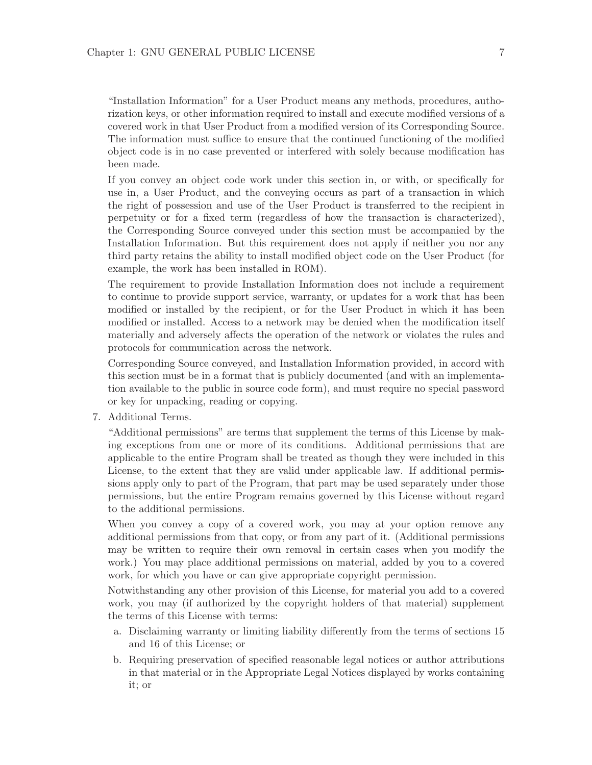"Installation Information" for a User Product means any methods, procedures, authorization keys, or other information required to install and execute modified versions of a covered work in that User Product from a modified version of its Corresponding Source. The information must suffice to ensure that the continued functioning of the modified object code is in no case prevented or interfered with solely because modification has been made.

If you convey an object code work under this section in, or with, or specifically for use in, a User Product, and the conveying occurs as part of a transaction in which the right of possession and use of the User Product is transferred to the recipient in perpetuity or for a fixed term (regardless of how the transaction is characterized), the Corresponding Source conveyed under this section must be accompanied by the Installation Information. But this requirement does not apply if neither you nor any third party retains the ability to install modified object code on the User Product (for example, the work has been installed in ROM).

The requirement to provide Installation Information does not include a requirement to continue to provide support service, warranty, or updates for a work that has been modified or installed by the recipient, or for the User Product in which it has been modified or installed. Access to a network may be denied when the modification itself materially and adversely affects the operation of the network or violates the rules and protocols for communication across the network.

Corresponding Source conveyed, and Installation Information provided, in accord with this section must be in a format that is publicly documented (and with an implementation available to the public in source code form), and must require no special password or key for unpacking, reading or copying.

7. Additional Terms.

"Additional permissions" are terms that supplement the terms of this License by making exceptions from one or more of its conditions. Additional permissions that are applicable to the entire Program shall be treated as though they were included in this License, to the extent that they are valid under applicable law. If additional permissions apply only to part of the Program, that part may be used separately under those permissions, but the entire Program remains governed by this License without regard to the additional permissions.

When you convey a copy of a covered work, you may at your option remove any additional permissions from that copy, or from any part of it. (Additional permissions may be written to require their own removal in certain cases when you modify the work.) You may place additional permissions on material, added by you to a covered work, for which you have or can give appropriate copyright permission.

Notwithstanding any other provision of this License, for material you add to a covered work, you may (if authorized by the copyright holders of that material) supplement the terms of this License with terms:

- a. Disclaiming warranty or limiting liability differently from the terms of sections 15 and 16 of this License; or
- b. Requiring preservation of specified reasonable legal notices or author attributions in that material or in the Appropriate Legal Notices displayed by works containing it; or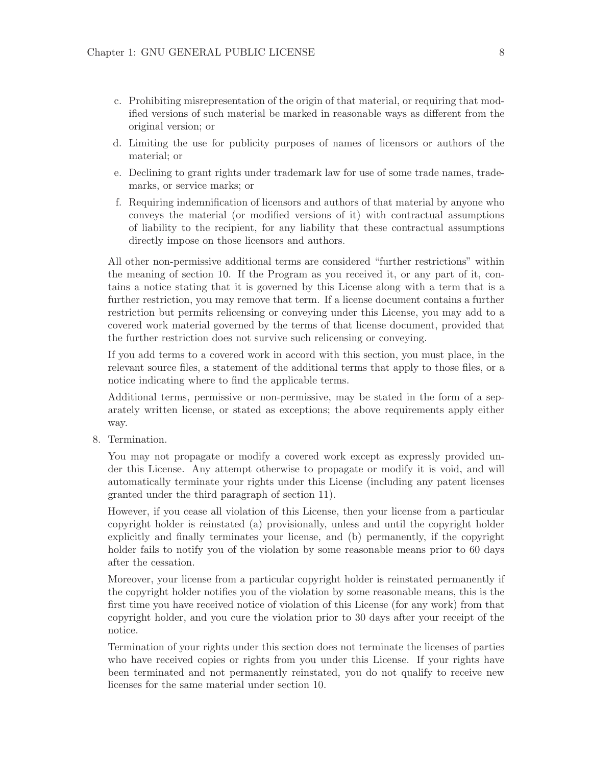- c. Prohibiting misrepresentation of the origin of that material, or requiring that modified versions of such material be marked in reasonable ways as different from the original version; or
- d. Limiting the use for publicity purposes of names of licensors or authors of the material; or
- e. Declining to grant rights under trademark law for use of some trade names, trademarks, or service marks; or
- f. Requiring indemnification of licensors and authors of that material by anyone who conveys the material (or modified versions of it) with contractual assumptions of liability to the recipient, for any liability that these contractual assumptions directly impose on those licensors and authors.

All other non-permissive additional terms are considered "further restrictions" within the meaning of section 10. If the Program as you received it, or any part of it, contains a notice stating that it is governed by this License along with a term that is a further restriction, you may remove that term. If a license document contains a further restriction but permits relicensing or conveying under this License, you may add to a covered work material governed by the terms of that license document, provided that the further restriction does not survive such relicensing or conveying.

If you add terms to a covered work in accord with this section, you must place, in the relevant source files, a statement of the additional terms that apply to those files, or a notice indicating where to find the applicable terms.

Additional terms, permissive or non-permissive, may be stated in the form of a separately written license, or stated as exceptions; the above requirements apply either way.

8. Termination.

You may not propagate or modify a covered work except as expressly provided under this License. Any attempt otherwise to propagate or modify it is void, and will automatically terminate your rights under this License (including any patent licenses granted under the third paragraph of section 11).

However, if you cease all violation of this License, then your license from a particular copyright holder is reinstated (a) provisionally, unless and until the copyright holder explicitly and finally terminates your license, and (b) permanently, if the copyright holder fails to notify you of the violation by some reasonable means prior to 60 days after the cessation.

Moreover, your license from a particular copyright holder is reinstated permanently if the copyright holder notifies you of the violation by some reasonable means, this is the first time you have received notice of violation of this License (for any work) from that copyright holder, and you cure the violation prior to 30 days after your receipt of the notice.

Termination of your rights under this section does not terminate the licenses of parties who have received copies or rights from you under this License. If your rights have been terminated and not permanently reinstated, you do not qualify to receive new licenses for the same material under section 10.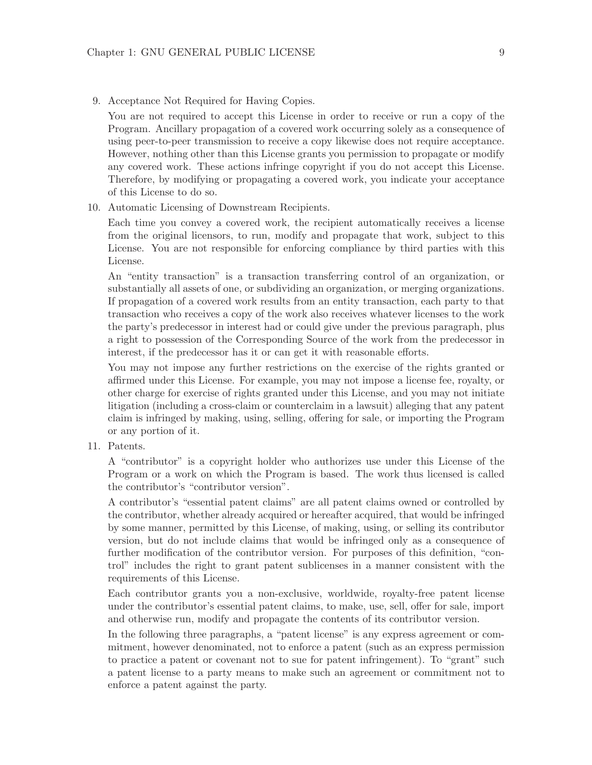9. Acceptance Not Required for Having Copies.

You are not required to accept this License in order to receive or run a copy of the Program. Ancillary propagation of a covered work occurring solely as a consequence of using peer-to-peer transmission to receive a copy likewise does not require acceptance. However, nothing other than this License grants you permission to propagate or modify any covered work. These actions infringe copyright if you do not accept this License. Therefore, by modifying or propagating a covered work, you indicate your acceptance of this License to do so.

10. Automatic Licensing of Downstream Recipients.

Each time you convey a covered work, the recipient automatically receives a license from the original licensors, to run, modify and propagate that work, subject to this License. You are not responsible for enforcing compliance by third parties with this License.

An "entity transaction" is a transaction transferring control of an organization, or substantially all assets of one, or subdividing an organization, or merging organizations. If propagation of a covered work results from an entity transaction, each party to that transaction who receives a copy of the work also receives whatever licenses to the work the party's predecessor in interest had or could give under the previous paragraph, plus a right to possession of the Corresponding Source of the work from the predecessor in interest, if the predecessor has it or can get it with reasonable efforts.

You may not impose any further restrictions on the exercise of the rights granted or affirmed under this License. For example, you may not impose a license fee, royalty, or other charge for exercise of rights granted under this License, and you may not initiate litigation (including a cross-claim or counterclaim in a lawsuit) alleging that any patent claim is infringed by making, using, selling, offering for sale, or importing the Program or any portion of it.

11. Patents.

A "contributor" is a copyright holder who authorizes use under this License of the Program or a work on which the Program is based. The work thus licensed is called the contributor's "contributor version".

A contributor's "essential patent claims" are all patent claims owned or controlled by the contributor, whether already acquired or hereafter acquired, that would be infringed by some manner, permitted by this License, of making, using, or selling its contributor version, but do not include claims that would be infringed only as a consequence of further modification of the contributor version. For purposes of this definition, "control" includes the right to grant patent sublicenses in a manner consistent with the requirements of this License.

Each contributor grants you a non-exclusive, worldwide, royalty-free patent license under the contributor's essential patent claims, to make, use, sell, offer for sale, import and otherwise run, modify and propagate the contents of its contributor version.

In the following three paragraphs, a "patent license" is any express agreement or commitment, however denominated, not to enforce a patent (such as an express permission to practice a patent or covenant not to sue for patent infringement). To "grant" such a patent license to a party means to make such an agreement or commitment not to enforce a patent against the party.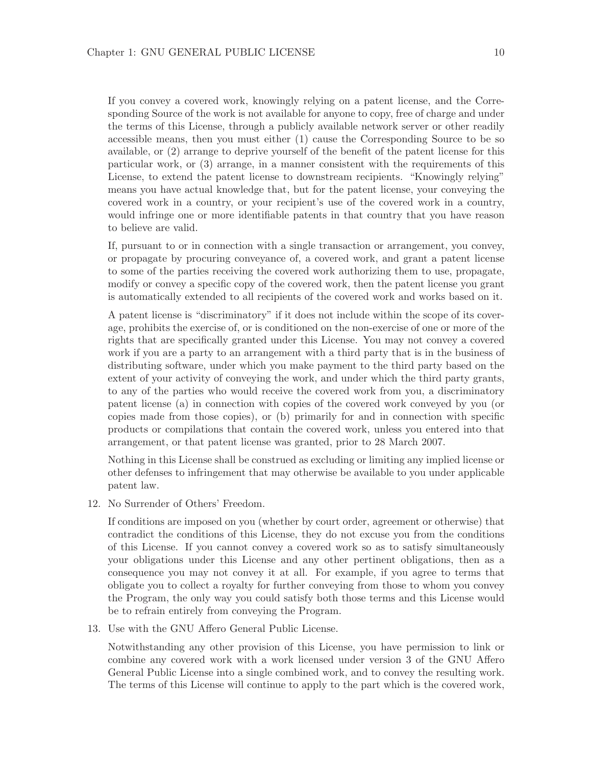If you convey a covered work, knowingly relying on a patent license, and the Corresponding Source of the work is not available for anyone to copy, free of charge and under the terms of this License, through a publicly available network server or other readily accessible means, then you must either (1) cause the Corresponding Source to be so available, or (2) arrange to deprive yourself of the benefit of the patent license for this particular work, or (3) arrange, in a manner consistent with the requirements of this License, to extend the patent license to downstream recipients. "Knowingly relying" means you have actual knowledge that, but for the patent license, your conveying the covered work in a country, or your recipient's use of the covered work in a country, would infringe one or more identifiable patents in that country that you have reason to believe are valid.

If, pursuant to or in connection with a single transaction or arrangement, you convey, or propagate by procuring conveyance of, a covered work, and grant a patent license to some of the parties receiving the covered work authorizing them to use, propagate, modify or convey a specific copy of the covered work, then the patent license you grant is automatically extended to all recipients of the covered work and works based on it.

A patent license is "discriminatory" if it does not include within the scope of its coverage, prohibits the exercise of, or is conditioned on the non-exercise of one or more of the rights that are specifically granted under this License. You may not convey a covered work if you are a party to an arrangement with a third party that is in the business of distributing software, under which you make payment to the third party based on the extent of your activity of conveying the work, and under which the third party grants, to any of the parties who would receive the covered work from you, a discriminatory patent license (a) in connection with copies of the covered work conveyed by you (or copies made from those copies), or (b) primarily for and in connection with specific products or compilations that contain the covered work, unless you entered into that arrangement, or that patent license was granted, prior to 28 March 2007.

Nothing in this License shall be construed as excluding or limiting any implied license or other defenses to infringement that may otherwise be available to you under applicable patent law.

12. No Surrender of Others' Freedom.

If conditions are imposed on you (whether by court order, agreement or otherwise) that contradict the conditions of this License, they do not excuse you from the conditions of this License. If you cannot convey a covered work so as to satisfy simultaneously your obligations under this License and any other pertinent obligations, then as a consequence you may not convey it at all. For example, if you agree to terms that obligate you to collect a royalty for further conveying from those to whom you convey the Program, the only way you could satisfy both those terms and this License would be to refrain entirely from conveying the Program.

13. Use with the GNU Affero General Public License.

Notwithstanding any other provision of this License, you have permission to link or combine any covered work with a work licensed under version 3 of the GNU Affero General Public License into a single combined work, and to convey the resulting work. The terms of this License will continue to apply to the part which is the covered work,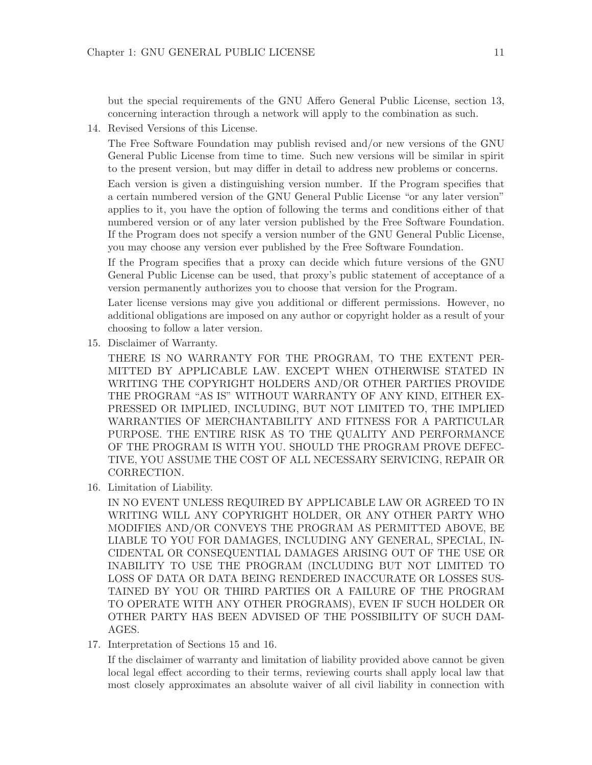but the special requirements of the GNU Affero General Public License, section 13, concerning interaction through a network will apply to the combination as such.

14. Revised Versions of this License.

The Free Software Foundation may publish revised and/or new versions of the GNU General Public License from time to time. Such new versions will be similar in spirit to the present version, but may differ in detail to address new problems or concerns.

Each version is given a distinguishing version number. If the Program specifies that a certain numbered version of the GNU General Public License "or any later version" applies to it, you have the option of following the terms and conditions either of that numbered version or of any later version published by the Free Software Foundation. If the Program does not specify a version number of the GNU General Public License, you may choose any version ever published by the Free Software Foundation.

If the Program specifies that a proxy can decide which future versions of the GNU General Public License can be used, that proxy's public statement of acceptance of a version permanently authorizes you to choose that version for the Program.

Later license versions may give you additional or different permissions. However, no additional obligations are imposed on any author or copyright holder as a result of your choosing to follow a later version.

15. Disclaimer of Warranty.

THERE IS NO WARRANTY FOR THE PROGRAM, TO THE EXTENT PER-MITTED BY APPLICABLE LAW. EXCEPT WHEN OTHERWISE STATED IN WRITING THE COPYRIGHT HOLDERS AND/OR OTHER PARTIES PROVIDE THE PROGRAM "AS IS" WITHOUT WARRANTY OF ANY KIND, EITHER EX-PRESSED OR IMPLIED, INCLUDING, BUT NOT LIMITED TO, THE IMPLIED WARRANTIES OF MERCHANTABILITY AND FITNESS FOR A PARTICULAR PURPOSE. THE ENTIRE RISK AS TO THE QUALITY AND PERFORMANCE OF THE PROGRAM IS WITH YOU. SHOULD THE PROGRAM PROVE DEFEC-TIVE, YOU ASSUME THE COST OF ALL NECESSARY SERVICING, REPAIR OR CORRECTION.

16. Limitation of Liability.

IN NO EVENT UNLESS REQUIRED BY APPLICABLE LAW OR AGREED TO IN WRITING WILL ANY COPYRIGHT HOLDER, OR ANY OTHER PARTY WHO MODIFIES AND/OR CONVEYS THE PROGRAM AS PERMITTED ABOVE, BE LIABLE TO YOU FOR DAMAGES, INCLUDING ANY GENERAL, SPECIAL, IN-CIDENTAL OR CONSEQUENTIAL DAMAGES ARISING OUT OF THE USE OR INABILITY TO USE THE PROGRAM (INCLUDING BUT NOT LIMITED TO LOSS OF DATA OR DATA BEING RENDERED INACCURATE OR LOSSES SUS-TAINED BY YOU OR THIRD PARTIES OR A FAILURE OF THE PROGRAM TO OPERATE WITH ANY OTHER PROGRAMS), EVEN IF SUCH HOLDER OR OTHER PARTY HAS BEEN ADVISED OF THE POSSIBILITY OF SUCH DAM-AGES.

17. Interpretation of Sections 15 and 16.

If the disclaimer of warranty and limitation of liability provided above cannot be given local legal effect according to their terms, reviewing courts shall apply local law that most closely approximates an absolute waiver of all civil liability in connection with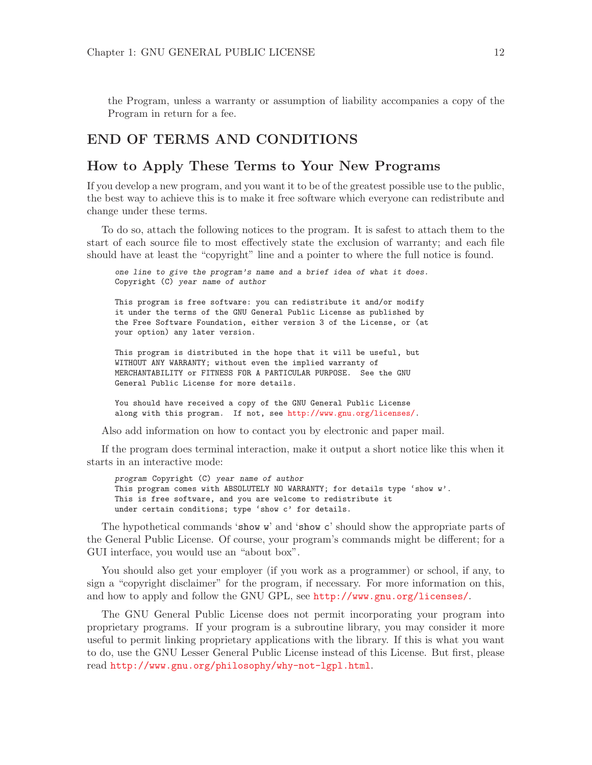the Program, unless a warranty or assumption of liability accompanies a copy of the Program in return for a fee.

#### END OF TERMS AND CONDITIONS

#### How to Apply These Terms to Your New Programs

If you develop a new program, and you want it to be of the greatest possible use to the public, the best way to achieve this is to make it free software which everyone can redistribute and change under these terms.

To do so, attach the following notices to the program. It is safest to attach them to the start of each source file to most effectively state the exclusion of warranty; and each file should have at least the "copyright" line and a pointer to where the full notice is found.

one line to give the program's name and a brief idea of what it does. Copyright (C) year name of author

This program is free software: you can redistribute it and/or modify it under the terms of the GNU General Public License as published by the Free Software Foundation, either version 3 of the License, or (at your option) any later version.

This program is distributed in the hope that it will be useful, but WITHOUT ANY WARRANTY; without even the implied warranty of MERCHANTABILITY or FITNESS FOR A PARTICULAR PURPOSE. See the GNU General Public License for more details.

You should have received a copy of the GNU General Public License along with this program. If not, see <http://www.gnu.org/licenses/>.

Also add information on how to contact you by electronic and paper mail.

If the program does terminal interaction, make it output a short notice like this when it starts in an interactive mode:

program Copyright (C) year name of author This program comes with ABSOLUTELY NO WARRANTY; for details type 'show w'. This is free software, and you are welcome to redistribute it under certain conditions; type 'show c' for details.

The hypothetical commands 'show w' and 'show c' should show the appropriate parts of the General Public License. Of course, your program's commands might be different; for a GUI interface, you would use an "about box".

You should also get your employer (if you work as a programmer) or school, if any, to sign a "copyright disclaimer" for the program, if necessary. For more information on this, and how to apply and follow the GNU GPL, see <http://www.gnu.org/licenses/>.

The GNU General Public License does not permit incorporating your program into proprietary programs. If your program is a subroutine library, you may consider it more useful to permit linking proprietary applications with the library. If this is what you want to do, use the GNU Lesser General Public License instead of this License. But first, please read <http://www.gnu.org/philosophy/why-not-lgpl.html>.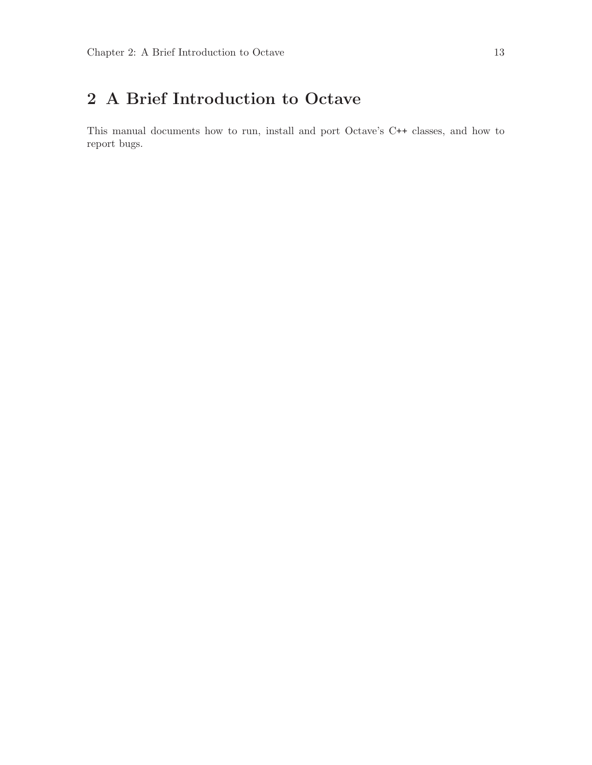# <span id="page-16-0"></span>2 A Brief Introduction to Octave

This manual documents how to run, install and port Octave's C++ classes, and how to report bugs.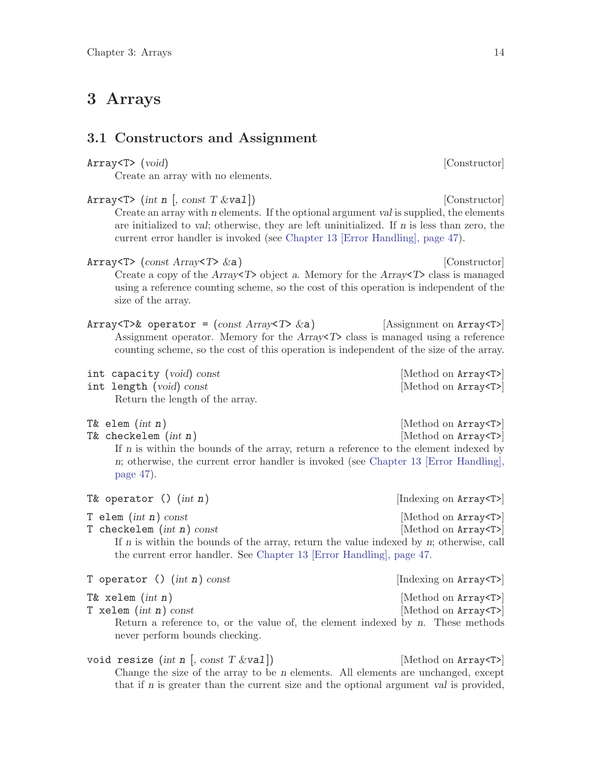# <span id="page-17-0"></span>3 Arrays

#### 3.1 Constructors and Assignment

| Create an array with no elements.                                                                                                                                                                                                                                                                                                            |                                                        |
|----------------------------------------------------------------------------------------------------------------------------------------------------------------------------------------------------------------------------------------------------------------------------------------------------------------------------------------------|--------------------------------------------------------|
| Array <t> (int n [, const T <math>\&amp;\text{val}</math>])<br/>Create an array with n elements. If the optional argument val is supplied, the elements<br/>are initialized to val; otherwise, they are left uninitialized. If n is less than zero, the<br/>current error handler is invoked (see Chapter 13 [Error Handling], page 47).</t> | [Constructor]                                          |
| Array <t> (<math>const</math> Array<t> <math>\&amp;a</math>)<br/>Create a copy of the Array<math>\langle T \rangle</math> object a. Memory for the Array<math>\langle T \rangle</math> class is managed<br/>using a reference counting scheme, so the cost of this operation is independent of the<br/>size of the array.</t></t>            | [Constructor]                                          |
| Array <t>&amp; operator = <math>\text{(const Array}</math><t> <math>\&amp;a)</math><br/>Assignment operator. Memory for the <math>Array\ll T</math> class is managed using a reference<br/>counting scheme, so the cost of this operation is independent of the size of the array.</t></t>                                                   | [Assignment on Array <t>]</t>                          |
| int capacity (void) const<br>int length (void) const<br>Return the length of the array.                                                                                                                                                                                                                                                      | [Method on Array <t>]<br/>[Method on Array<t>]</t></t> |
| T& elem $(int n)$<br>T& checkelem $(int n)$<br>If $n$ is within the bounds of the array, return a reference to the element indexed by<br>n; otherwise, the current error handler is invoked (see Chapter 13 [Error Handling],<br>page $47$ ).                                                                                                | [Method on Array <t>]<br/>[Method on Array<t>]</t></t> |
| T& operator () $(int n)$                                                                                                                                                                                                                                                                                                                     | [Indexing on Array <t>]</t>                            |
| T elem $(int n)$ const<br>T checkelem $(int n)$ const<br>If $n$ is within the bounds of the array, return the value indexed by $n$ ; otherwise, call<br>the current error handler. See Chapter 13 [Error Handling], page 47.                                                                                                                 | [Method on Array <t>]<br/>[Method on Array<t>]</t></t> |
| T operator () $(int n)$ const                                                                                                                                                                                                                                                                                                                | [Indexing on Array <t>]</t>                            |
| T& xelem $(int n)$<br>T xelem $(int n)$ const<br>Return a reference to, or the value of, the element indexed by n. These methods<br>never perform bounds checking.                                                                                                                                                                           | [Method on Array <t>]<br/>[Method on Array<t>]</t></t> |
| void resize (int n [, const $T \& \text{val}$ ])                                                                                                                                                                                                                                                                                             | [Method on Array <t>]</t>                              |

Array<T> (void) [Constructor]

Change the size of the array to be n elements. All elements are unchanged, except that if n is greater than the current size and the optional argument val is provided,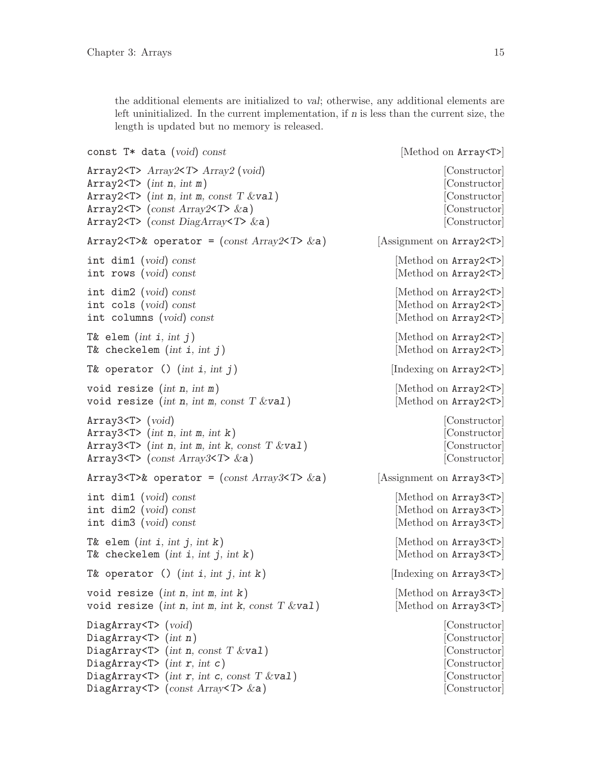<span id="page-18-0"></span>the additional elements are initialized to val; otherwise, any additional elements are left uninitialized. In the current implementation, if n is less than the current size, the length is updated but no memory is released.

| const $T*$ data (void) const                                                            | [Method on Array <t>]</t>      |
|-----------------------------------------------------------------------------------------|--------------------------------|
| Array2 <t> <math>Array2 &lt; T</math>&gt; <math>Array2</math> (void)</t>                | [Constructor]                  |
| Array2 <t> <math>(int n, int m)</math></t>                                              | [Constructor]                  |
| Array2 <t> (int n, int m, const <math>T</math> &amp;val)</t>                            | [Constructor]                  |
| Array2 <t> (const Array2<t> &amp;a)</t></t>                                             | Constructor                    |
| Array2 <t> (const DiagArray<t> <math>\&amp;a)</math></t></t>                            | [Constructor]                  |
| Array2 <t>&amp; operator = <math>\text{(const Array2<math>\forall</math> 2a)</math></t> | Assignment on Array2 <t></t>   |
| int dim1 (void) const                                                                   | [Method on Array2 <t>]</t>     |
| int rows (void) const                                                                   | [Method on Array2 <t>]</t>     |
| $int \ dim2 \ (void) \ const$                                                           | Method on Array2 <t></t>       |
| int cols (void) const                                                                   | Method on Array2 <t></t>       |
| int columns (void) const                                                                | [Method on Array2 <t>]</t>     |
| T& elem $(int i, int j)$                                                                | [Method on Array2 <t>]</t>     |
| T& checkelem $(int i, int j)$                                                           | [Method on Array2 <t>]</t>     |
| T& operator () $(int i, int j)$                                                         | [Indexing on Array2 <t>]</t>   |
| void resize $(int n, int m)$                                                            | [Method on Array2 <t>]</t>     |
| void resize (int n, int m, const $T$ &val)                                              | Method on Array2 <t></t>       |
| Array3 < T > (void)                                                                     | Constructor                    |
| Array3 <t> (int <math>n</math>, int <math>m</math>, int <math>k</math>)</t>             | [Constructor]                  |
| Array3 <t> (int n, int m, int k, const <math>T \&amp; \text{val}</math>)</t>            | [Constructor]                  |
| Array3 <t> (const Array3<t> <math>\&amp;a</math>)</t></t>                               | [Constructor]                  |
| Array3 <t>&amp; operator = <math>\text{(const Array3<math>\forall</math> 2a)</math></t> | [Assignment on Array3 <t>]</t> |
| int dim1 (void) const                                                                   | Method on Array3 <t></t>       |
| int $dim2$ (void) const                                                                 | Method on Array3 <t></t>       |
| int dim3 (void) const                                                                   | Method on Array3 <t></t>       |
| T& elem $(int i, int j, int k)$                                                         | Method on Array3 <t></t>       |
| T& checkelem $(int i, int j, int k)$                                                    | [Method on Array3 <t>]</t>     |
| T& operator () $(int i, int j, int k)$                                                  | [Indexing on Array3 <t>]</t>   |
| void resize (int $n$ , int $m$ , int $k$ )                                              | [Method on Array3 <t>]</t>     |
| void resize (int n, int m, int k, const $T$ &val)                                       | [Method on Array3 <t>]</t>     |
| DiagArray $\mathsf{T}$ > (void)                                                         | [Constructor]                  |
| DiagArray <t> <math>(int n)</math></t>                                                  | [Constructor]                  |
| DiagArray <t> (int n, const T &amp;val)</t>                                             | [Constructor]                  |
| DiagArray <t> <math>(int r, int c)</math></t>                                           | [Constructor]                  |
| DiagArray $\text{Tr } \int \int \int \int$ (int r, int c, const T &val)                 | [Constructor]                  |
| DiagArray <t> (const Array<t> <math>\&amp;a</math>)</t></t>                             | [Constructor]                  |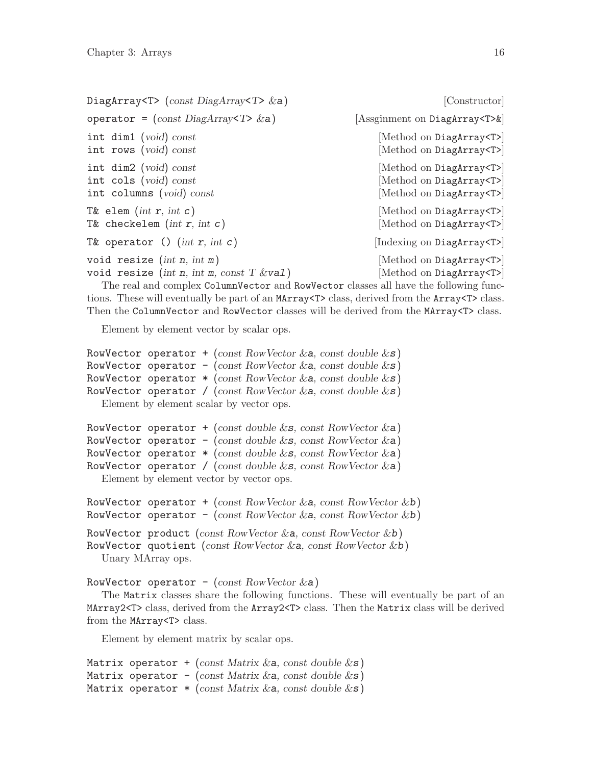<span id="page-19-0"></span>

| DiagArray <t> (const DiagArray<t> <math>\&amp;a)</math></t></t> | [Constructor]                          |
|-----------------------------------------------------------------|----------------------------------------|
| operator = $(const \text{DiagArray}$ $\triangledown$ & a)       | [Assginment on DiagArray <t>&amp;]</t> |
| int dim1 ( $void$ ) const                                       | [Method on DiagArray <t>]</t>          |
| int rows (void) const                                           | [Method on DiagArray <t>]</t>          |
| int $dim2$ (void) const                                         | [Method on DiagArray <t>]</t>          |
| int cols (void) const                                           | [Method on DiagArray <t>]</t>          |
| int columns (void) const                                        | [Method on DiagArray <t>]</t>          |
| T& elem (int $r$ , int $c$ )                                    | [Method on DiagArray <t>]</t>          |
| T& checkelem $(int r, int c)$                                   | [Method on DiagArray <t>]</t>          |
| T& operator () $(int r, int c)$                                 | [Indexing on DiagArray <t>]</t>        |
| void resize $(int n, int m)$                                    | [Method on DiagArray <t>]</t>          |
| void resize (int n, int m, const $T$ &val)                      | [Method on DiagArray <t>]</t>          |

The real and complex ColumnVector and RowVector classes all have the following functions. These will eventually be part of an MArray<T> class, derived from the Array<T> class. Then the ColumnVector and RowVector classes will be derived from the MArray<T> class.

Element by element vector by scalar ops.

```
RowVector operator + (const RowVector &a, const double &s)
RowVector operator - (const RowVector &a, const double \&s)
RowVector operator *(\text{const RowVector} \& a, \text{const double} \& s)RowVector operator / (const RowVector &a, const double &s)
  Element by element scalar by vector ops.
```

```
RowVector operator + (const double \&\mathbf{s}, const RowVector \&\mathbf{a})
RowVector operator - (const double \&\textbf{s}, const RowVector \&\textbf{a})
RowVector operator * (const double &s, const RowVector &a)
RowVector operator / (const double \&\mathbf{s}, const RowVector \&\mathbf{a})
   Element by element vector by vector ops.
```

```
RowVector operator + (const RowVector &a, const RowVector &b)
RowVector operator - (const RowVector &a, const RowVector &b)
RowVector product (const RowVector &a, const RowVector &b)
RowVector quotient (const RowVector \&a, const RowVector \&b)
  Unary MArray ops.
```

```
RowVector operator - (const RowVector \&a))
```
The Matrix classes share the following functions. These will eventually be part of an MArray2<T> class, derived from the Array2<T> class. Then the Matrix class will be derived from the MArray<T> class.

Element by element matrix by scalar ops.

```
Matrix operator + (const Matrix & a, const double \&s)
Matrix operator - (const Matrix & a, const double \&s)
Matrix operator * (const Matrix & a, const double & s)
```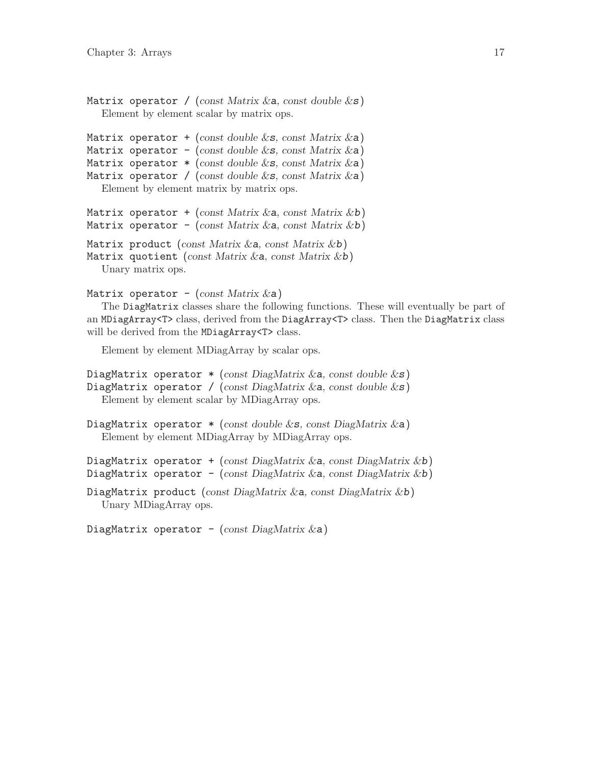```
Matrix operator / (const Matrix \&a, const double \&s)
  Element by element scalar by matrix ops.
```

```
Matrix operator + (const double \&\textbf{s}, const Matrix \&\textbf{a})
Matrix operator - (const double \&\mathbf{s}, const Matrix \&\mathbf{a})
Matrix operator * (const double &s, const Matrix &a)
Matrix operator / (const double \&s, const Matrix \&a)
   Element by element matrix by matrix ops.
Matrix operator + (const Matrix \&a, const Matrix \&b)
Matrix operator - (const Matrix &a, const Matrix &b)
Matrix product (const Matrix \&a, const Matrix \&b)
Matrix quotient (const Matrix \&a, const Matrix \&b)
```
Unary matrix ops.

```
Matrix operator - (const Matrix \&a)
```
The DiagMatrix classes share the following functions. These will eventually be part of an MDiagArray<T> class, derived from the DiagArray<T> class. Then the DiagMatrix class will be derived from the MDiagArray<T>class.

Element by element MDiagArray by scalar ops.

```
DiagMatrix operator *(\text{const } \text{DiagMatrix} \& \text{a}, \text{const } \text{double} \& \text{s})DiagMatrix operator / (const DiagMatrix & a, const double \&s)
   Element by element scalar by MDiagArray ops.
```

```
DiagMatrix operator * (const double &s, const DiagMatrix &a)
  Element by element MDiagArray by MDiagArray ops.
```
DiagMatrix operator + (const DiagMatrix & a, const DiagMatrix & b) DiagMatrix operator - (const DiagMatrix & a, const DiagMatrix & b)

```
DiagMatrix product (const DiagMatrix &a, const DiagMatrix &b)
  Unary MDiagArray ops.
```
DiagMatrix operator - (const DiagMatrix  $\&a)$ )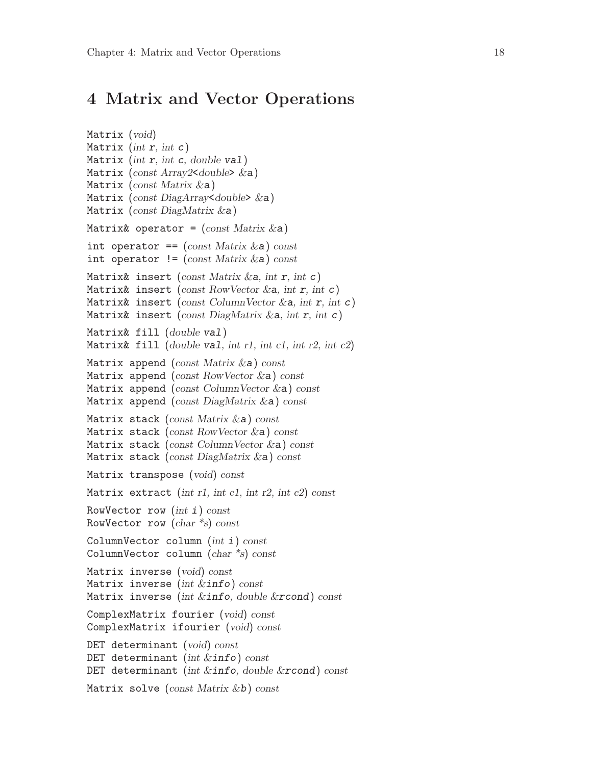## <span id="page-21-0"></span>4 Matrix and Vector Operations

```
Matrix (void)
Matrix (int r, int c)
Matrix (int r, int c, double val)
Matrix (const Array2<double> \&a)Matrix (const Matrix &a)
Matrix (const DiagArray<double> &a)
Matrix (const DiagMatrix &a)
Matrix& operator = (const Matrix \&a)int operator == (const Matrix \&a) const
int operator != (const Matrix & a) const
Matrix& insert (const Matrix & a, int r, int c)
Matrix& insert (const RowVector &a, int r, int c)
Matrix& insert (const ColumnVector &a, int r, int c)
Matrix& insert (const DiagMatrix & a, int r, int c)
Matrix& fill (double val)
Matrix& fill (double val, int r1, int c1, int r2, int c2)
Matrix append (const Matrix \&a) const
Matrix append (const RowVector &a) const
Matrix append (const ColumnVector \&a) const
Matrix append (const DiagMatrix &a) const
Matrix stack (const Matrix &a) const
Matrix stack (const RowVector &a) const
Matrix stack (const ColumnVector &a) const
Matrix stack (const DiagMatrix &a) const
Matrix transpose (void) const
Matrix extract (int r1, int c1, int r2, int c2) const
RowVector row (int i) const
RowVector row (char *s) const
ColumnVector column (int i) const
ColumnVector column (char *s) const
Matrix inverse (void) const
Matrix inverse (int \&info) const
Matrix inverse (int \&info, double \&rcond) const
ComplexMatrix fourier (void) const
ComplexMatrix ifourier (void) const
DET determinant (void) const
DET determinant (int &info) const
DET determinant (int \&info, double \&rcond) const
Matrix solve (const Matrix &b) const
```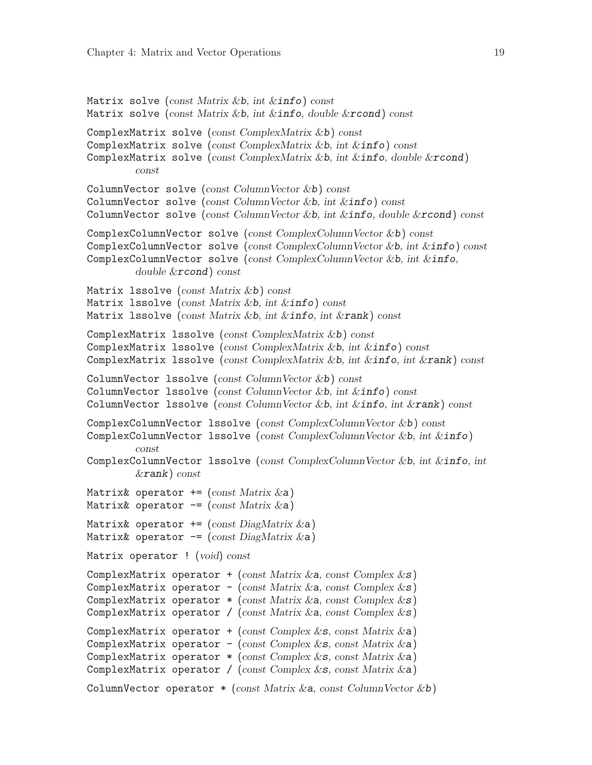```
Matrix solve (const Matrix &b, int &\text{info}) const
Matrix solve (const Matrix &b, int \&info, double \&rcond) const
ComplexMatrix solve (const ComplexMatrix &b) const
ComplexMatrix solve (const ComplexMatrix &b, int &info) const
ComplexMatrix solve (const ComplexMatrix &b, int &info, double &rcond)
         const
ColumnVector solve (const \text{ Column Vector } \& b) \text{ const}ColumnVector solve (const ColumnVector &b, int &info) const
ColumnVector solve (const ColumnVector &b, int &info, double &rcond) const
ComplexColumnVector solve (const ComplexColumnVector &b) const
ComplexColumnVector solve (const ComplexColumnVector &b, int &info) const
ComplexColumnVector solve (const ComplexColumnVector &b, int &info,
         double &rcond) const
Matrix 1ssolve (const Matrix &b) const
Matrix lssolve (const Matrix &b, int &info) const
Matrix 1ssolve (const Matrix &b, int &\text{info}, \text{int }&\text{rank}) const
ComplexMatrix lssolve (const ComplexMatrix &b) const
ComplexMatrix lssolve (const ComplexMatrix &b, int &info) const
ComplexMatrix 1ssolve (const ComplexMatrix &b, int &info, int &rank) const
ColumnVector lssolve (const ColumnVector &b) const
ColumnVector lssolve (const ColumnVector &b, int &info) const
ColumnVector lssolve (const ColumnVector &b, int &info, int &rank) const
ComplexColumnVector lssolve (const ComplexColumnVector &b) const
ComplexColumnVector lssolve (const ComplexColumnVector &b, int &info)
         const
ComplexColumnVector lssolve (const ComplexColumnVector &b, int &info, int
         &rank) const
Matrix& operator += (const Matrix \&a))
Matrix& operator - (const Matrix \&a))
Matrix& operator += (const DiagMatrix \&a))
Matrix& operator - (const DiagMatrix & a)
Matrix operator ! (void) const
ComplexMatrix operator + (const Matrix & a, const Complex &s)
ComplexMatrix operator - (const Matrix & a, const Complex \&s)
ComplexMatrix operator *(\text{const Matrix } \&a, \text{const Complex } \&s)ComplexMatrix operator / (const Matrix & a, const Complex \&s)
ComplexMatrix operator + (const Complex &s, const Matrix \&a))
ComplexMatrix operator - (const Complex \&s, const Matrix \&a)
ComplexMatrix operator *(\text{const } \text{Complex} \& \text{s}, \text{const } \text{Matrix } \& \text{a})ComplexMatrix operator / (const Complex \&\mathbf{s}, const Matrix \&\mathbf{a}))
ColumnVector operator *(\text{const Matrix} \& a, \text{const ColumnVector} \& b)
```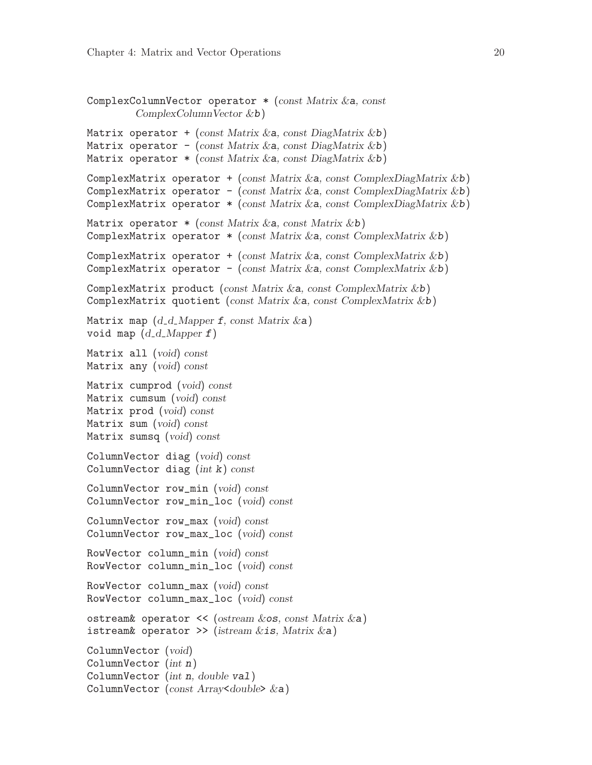```
ComplexColumnVector operator * (const Matrix &a, const
         ComplexColumnVector &b)
Matrix operator + (const Matrix & a, const DiagMatrix & b)
Matrix operator - (const Matrix & a, const DiagMatrix & b)
Matrix operator * (const Matrix & a, const DiagMatrix & b)
ComplexMatrix operator + (const Matrix &a, const ComplexDiagMatrix &b)
ComplexMatrix operator - (const Matrix &a, const ComplexDiagMatrix &b)
ComplexMatrix operator * (const Matrix &a, const ComplexDiagMatrix &b)
Matrix operator * (const Matrix & a, const Matrix & b)
ComplexMatrix operator *(\text{const Matrix } \& a, \text{const } \text{ComplexMatrix } \& b)ComplexMatrix operator + (const Matrix \&a, const ComplexMatrix \&b)
ComplexMatrix operator - (const Matrix &a, const ComplexMatrix &b)
ComplexMatrix product (const Matrix &a, const ComplexMatrix &b)
ComplexMatrix quotient (const Matrix &a, const ComplexMatrix &b)
Matrix map (d_d_M)Mapper f, const Matrix \&a)void map (d_d_M) Mapper f)
Matrix all (void) const
Matrix any (void) const
Matrix cumprod (void) const
Matrix cumsum (void) const
Matrix prod (void) const
Matrix sum (void) const
Matrix sumsq (void) const
ColumnVector diag (void) const
ColumnVector diag (int k) const
ColumnVector row_min (void) const
ColumnVector row_min_loc (void) const
ColumnVector row_max (void) const
ColumnVector row_max_loc (void) const
RowVector column_min (void) const
RowVector column_min_loc (void) const
RowVector column_max (void) const
RowVector column_max_loc (void) const
ostream& operator \lt\lt (ostream &os, const Matrix &a)
istream& operator >> (istream \&is, Matrix \&a)
ColumnVector (void)
ColumnVector (int n)
ColumnVector (int n, double val)
ColumnVector (const Array<double> &a)
```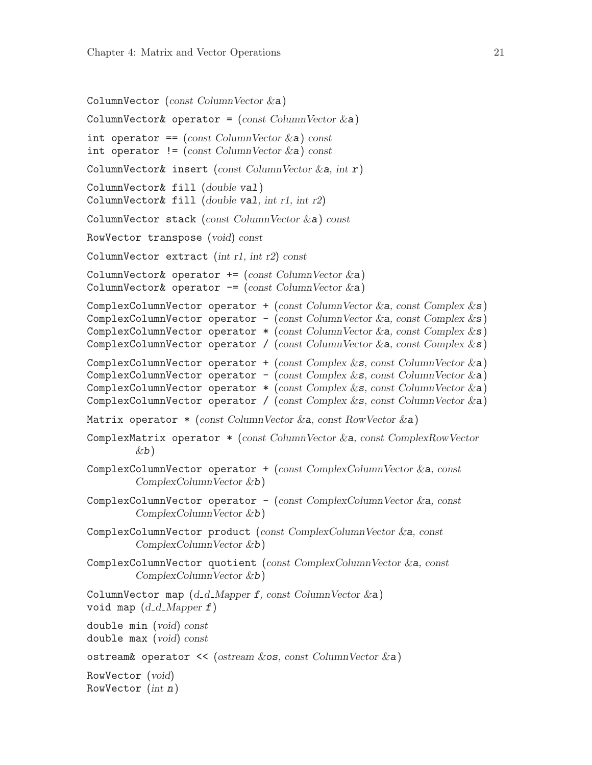```
ColumnVector (const ColumnVector &a)
ColumnVector& operator = (const \text{ ColumnVector } \&a)int operator == \text{(const ColumnVector} \&a) \text{ const}int operator != (const ColumnVector \&a) const
ColumnVector& insert (const ColumnVector &a, int r)
ColumnVector& fill (double val)
ColumnVector& fill (double val, int r1, int r2)
ColumnVector stack (const ColumnVector \&a) const
RowVector transpose (void) const
ColumnVector extract (int r1, int r2) const
ColumnVector& operator += (const ColumnVector \&a))
ColumnVector& operator - (const ColumnVector &a)
ComplexColumnVector operator + (const ColumnVector &a, const Complex \&s)
ComplexColumnVector operator - (const ColumnVector &a, const Complex \&s)
ComplexColumnVector operator *(\text{const ColumnVector} \& a, \text{const Complex} \& s)ComplexColumnVector operator / (const ColumnVector &a, const Complex &s)
ComplexColumnVector operator + (const Complex \&s, const ColumnVector \&a)
ComplexColumnVector operator - (const Complex &s, const ColumnVector \&a))
ComplexColumnVector operator *(\text{const } \text{Complex} \& \text{const } \text{ColumnVector} \& \text{a})ComplexColumnVector operator / (const Complex \&s, const ColumnVector \&a)
Matrix operator * (const ColumnVector &a, const RowVector &a)
ComplexMatrix operator * (const ColumnVector &a, const ComplexRowVector
         \&b)ComplexColumnVector operator + (const ComplexColumnVector & a, const)ComplexColumnVector \&b)ComplexColumnVector operator -(\text{const } \text{ComplexColumnVector } \&a, \text{const}ComplexColumnVector &b)
ComplexColumnVector product (const ComplexColumnVector &a, const
         ComplexColumnVector \&b)ComplexColumnVector quotient (const ComplexColumnVector &a, const
         ComplexColumnVector &b)
ColumnVector map (d_d_M) Mapper f, const ColumnVector \&a)void map (d_d_M) Mapper f)
double min (void) const
double max (void) const
ostream& operator << (ostream &os, const ColumnVector &a)
RowVector (void)
RowVector (int n)
```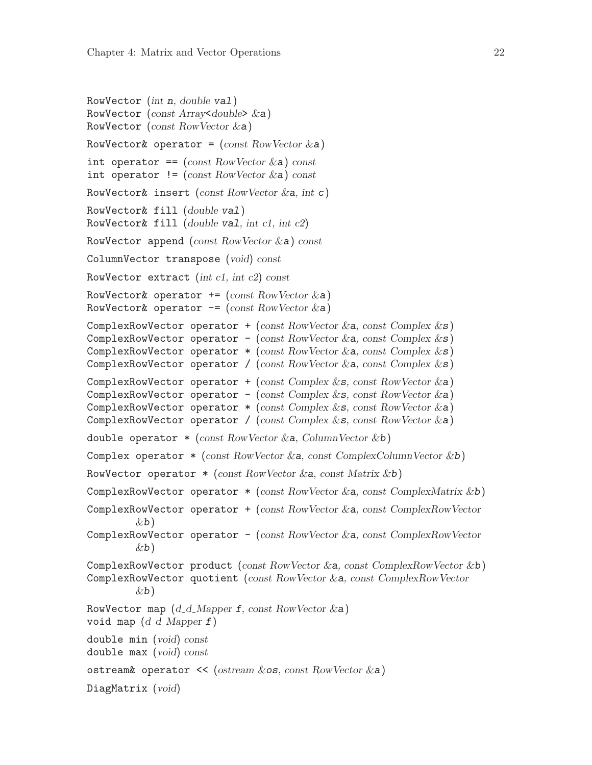```
RowVector (int n, double val)
RowVector (const Array<double> \&a)RowVector (const RowVector &a)
RowVector& operator = (const RowVector & a)int operator == (const RowVector & a) constint operator != (const RowVector \&a) const
RowVector& insert (const RowVector & a, int c)
RowVector& fill (double val)
RowVector& fill (double val, int cl, int c2)RowVector append (const RowVector) const
ColumnVector transpose (void) const
RowVector extract (int c1, int c2) const
RowVector& operator += (const RowVector \&a))
RowVector& operator - (const RowVector & a)
ComplexRowVector operator + (const RowVector \&a, const Complex \&s)
ComplexRowVector operator - (const RowVector &a, const Complex \&s)
ComplexRowVector operator *(\text{const} \text{ RowVector} \& a, \text{const} \text{ Complex} \& s)ComplexRowVector operator / (const RowVector &a, const Complex &s)
ComplexRowVector operator + (const Complex &s, const RowVector &a)
ComplexRowVector operator - (const Complex \&\mathbf{s}, const RowVector \&\mathbf{a})
ComplexRowVector operator *(\text{const } \text{Complex} \& s, \text{const } \text{RowVector} \& a)ComplexRowVector operator / (const Complex \&\mathbf{s}, const RowVector \&\mathbf{a})
double operator * (const RowVector &a, ColumnVector &b)
Complex operator * (const RowVector &a, const ComplexColumnVector &b)
RowVector operator *(\text{const RowVector} \& a, \text{const Matrix} \& b)ComplexRowVector operator *(\text{const} \; RowVector \; & a, \; const \; ComplexMatrix \; & b)ComplexRowVector operator + (const RowVector &a, const ComplexRowVector
         \&b)ComplexRowVector operator - (const RowVector &a, const ComplexRowVector
         \&b)ComplexRowVector product (const RowVector &a, const ComplexRowVector &b)
ComplexRowVector quotient (const RowVector &a, const ComplexRowVector
         \&b)RowVector map (d_d_M)Mapper f, const RowVector \&a)void map (d_d_M)double min (void) const
double max (void) const
ostream& operator \ll (ostream &os, const RowVector &a)
DiagMatrix (void)
```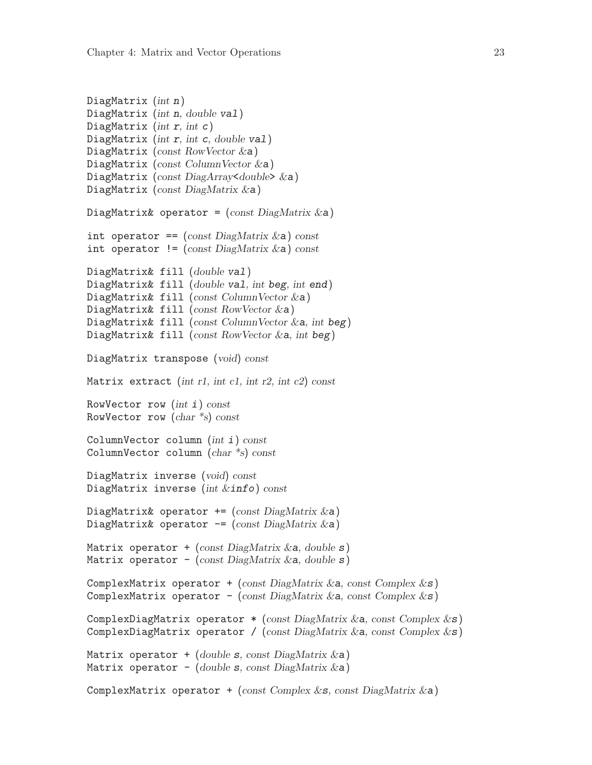```
DiagMatrix (int n)DiagMatrix (int n, double val)
DiagMatrix (int r, int c)
DiagMatrix (int r, int c, double val)
DiagMatrix (const RowVector &a)
DiagMatrix (const ColumnVector &a)
DiagMatrix (const DiagArray<double> &a)
DiagMatrix (const DiagMatrix &a)
DiagMatrix& operator = (const \text{ DiagMatrix} \& a)int operator == (const DiagMatrix \&a) const
int operator != (const DiagMatrix \&a) const
DiagMatrix& fill (double val)
DiagMatrix& fill (double val, int beg, int end)
DiagMatrix& fill (const ColumnVector &a)
DiagMatrix& fill (const RowVector &a)
DiagMatrix& fill (const ColumnVector \&a, int beg)
DiagMatrix& fill (const RowVector &a, int beg)
DiagMatrix transpose (void) const
Matrix extract (int r1, int c1, int r2, int c2) const
RowVector row (int i) const
RowVector row (char *s) const
ColumnVector column (int i) const
ColumnVector column (char *s) const
DiagMatrix inverse (void) const
DiagMatrix inverse (int &info) const
DiagMatrix& operator + (const DiagMatrix &a)
DiagMatrix& operator - (const DiagMatrix \&a))
Matrix operator + (const DiagMatrix \&a, double s)
Matrix operator - (const DiagMatrix \&a, double s)
ComplexMatrix operator + (const DiagMatrix & a, const Complex \&s)
ComplexMatrix operator - (const DiagMatrix & a, const Complex \&s)
ComplexDiagMatrix operator *(\text{const } \text{DiagMatrix } \& a, \text{const } \text{Complex} \& s)ComplexDiagMatrix operator / (const DiagMatrix & a, const Complex \&s)
Matrix operator + (double s, const DiagMatrix \&a))
Matrix operator - (double s, const DiagMatrix \&a))
ComplexMatrix operator + (const Complex &s, const DiagMatrix &a)
```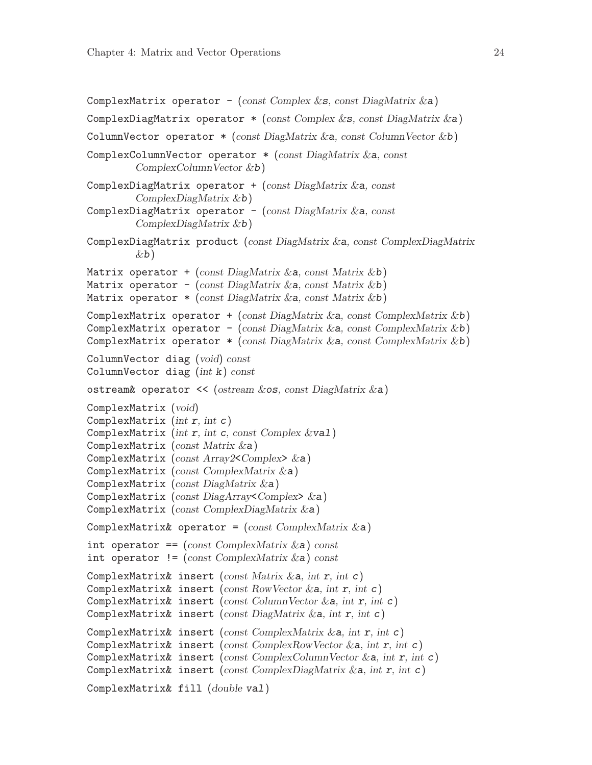```
ComplexMatrix operator - (const Complex &s, const DiagMatrix \&a))
ComplexDiagMatrix operator *(\text{const } \text{Complex} \& s, \text{const } \text{DiagMatrix } \& a)ColumnVector operator *(\text{const } \text{DiagMatrix} \&a, \text{const } \text{ColumnVector} \&b)ComplexColumnVector operator * (const DiagMatrix &a, const
         ComplexColumnVector &b)
ComplexDiagMatrix operator + (const DiagMatrix \&a, const
         ComplexDiagMatrix &b)
ComplexDiagMatrix operator - (const DiagMatrix & a, const
         ComplexDiagMatrix &b)
ComplexDiagMatrix product (const DiagMatrix &a, const ComplexDiagMatrix
         \&b)Matrix operator + (const DiagMatrix & a, const Matrix & b)
Matrix operator - (const DiagMatrix & a, const Matrix & b)
Matrix operator * (const DiagMatrix & a, const Matrix & b)
ComplexMatrix operator + (const DiagMatrix \&a, const ComplexMatrix \&b)
ComplexMatrix operator - (const DiagMatrix &a, const ComplexMatrix &b)
ComplexMatrix operator *(\text{const } \text{DiagMatrix} \& a, \text{const } \text{ComplexMatrix} \& b)ColumnVector diag (void) const
ColumnVector diag (int k) const
ostream& operator \prec (ostream \&os, const DiagMatrix \&a)
ComplexMatrix (void)
ComplexMatrix (int r, int c)ComplexMatrix (int r, int c, const Complex \&\text{val})
ComplexMatrix (const Matrix &a)
ComplexMatrix (const Array2<Complex> &a)
ComplexMatrix (const ComplexMatrix &a)
ComplexMatrix (const DiagMatrix &a)
ComplexMatrix (const DiagArray<Complex> &a)
ComplexMatrix (const ComplexDiagMatrix &a)
ComplexMatrix& operator = (const \text{ ComplexMatrix } \&a)int operator == (const \text{ ComplexMatrix } \&a) \text{ const}int operator != (const ComplexMatrix \&a) const
ComplexMatrix& insert (const Matrix \&a, int r, int c)
ComplexMatrix& insert (const RowVector \&a, int r, int c)
ComplexMatrix& insert (const ColumnVector \&a, int r, int c)
ComplexMatrix& insert (const DiagMatrix \&a, int r, int c)
ComplexMatrix& insert (const ComplexMatrix \&a, int r, int c)
ComplexMatrix& insert (const ComplexRowVector \&a, int r, int c)
ComplexMatrix& insert (const ComplexColumnVector &a, int r, int c)
ComplexMatrix& insert (const ComplexDiagMatrix \&a, int r, int c)
ComplexMatrix& fill (double val)
```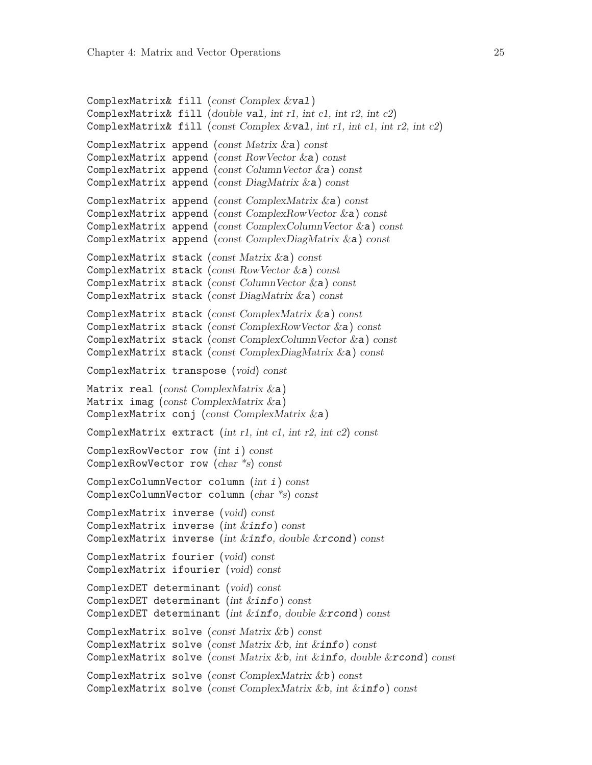```
ComplexMatrix& fill (const Complex &val)
ComplexMatrix& fill (double val, int r1, int c1, int r2, int c2)
ComplexMatrix& fill (const Complex &val, int r1, int c1, int r2, int c2)
ComplexMatrix append (const Matrix &a) const
ComplexMatrix append (const RowVector &a) const
ComplexMatrix append (const ColumnVector \&a) const
ComplexMatrix append (const DiagMatrix &a) const
ComplexMatrix append (const ComplexMatrix &a) const
ComplexMatrix append (const ComplexRowVector &a) const
ComplexMatrix append (const ComplexColumnVector &a) const
ComplexMatrix append (const ComplexDiagMatrix &a) const
ComplexMatrix stack (const Matrix &a) const
ComplexMatrix stack (const RowVector &a) const
ComplexMatrix stack (const ColumnVector &a) const
ComplexMatrix stack (const DiagMatrix &a) const
ComplexMatrix stack (const ComplexMatrix &a) const
ComplexMatrix stack (const ComplexRowVector &a) const
ComplexMatrix stack (const ComplexColumnVector &a) const
ComplexMatrix stack (const ComplexDiagMatrix &a) const
ComplexMatrix transpose (void) const
Matrix real (const ComplexMatrix &a)
Matrix imag (const ComplexMatrix \&a))
ComplexMatrix conj (const ComplexMatrix &a)
ComplexMatrix extract (int r1, int c1, int r2, int c2) const
ComplexRowVector row (int i) const
ComplexRowVector row (char *s) const
ComplexColumnVector column (int i) const
ComplexColumnVector column (char *s) const
ComplexMatrix inverse (void) const
ComplexMatrix inverse (int &info) const
ComplexMatrix inverse (int \&info, double \&rcond) const
ComplexMatrix fourier (void) const
ComplexMatrix ifourier (void) const
ComplexDET determinant (void) const
ComplexDET determinant (int &info) const
ComplexDET determinant (int &info, double &rcond) const
ComplexMatrix solve (const Matrix &b) const
ComplexMatrix solve (const Matrix &b, int &\text{info}) const
ComplexMatrix solve (const Matrix &b, int &info, double &rcond) const
ComplexMatrix solve (const ComplexMatrix &b) const
ComplexMatrix solve (const ComplexMatrix &b, int &info) const
```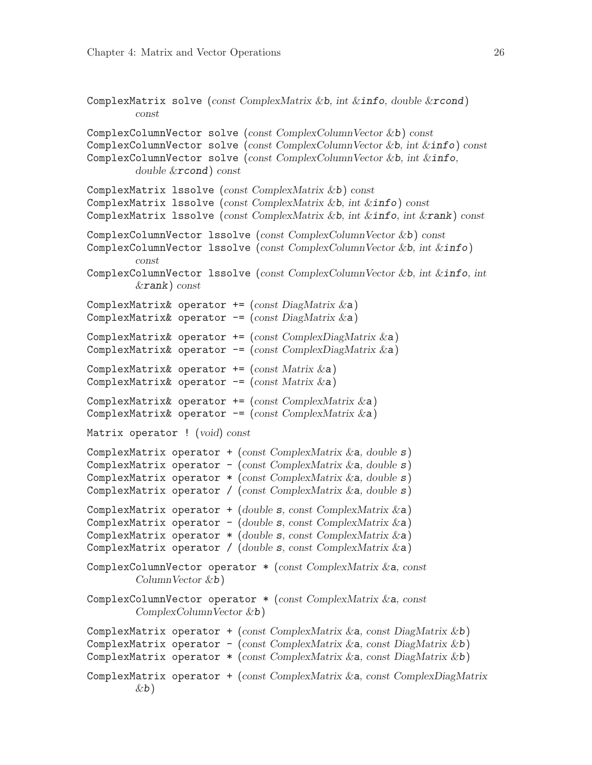<span id="page-29-0"></span>ComplexMatrix solve (const ComplexMatrix &b, int &info, double &rcond) const ComplexColumnVector solve (const ComplexColumnVector &b) const ComplexColumnVector solve (const ComplexColumnVector &b, int &info) const ComplexColumnVector solve (const ComplexColumnVector &b, int &info, double &rcond) const ComplexMatrix lssolve (const ComplexMatrix &b) const ComplexMatrix lssolve (const ComplexMatrix &b, int &info) const ComplexMatrix 1ssolve (const ComplexMatrix &b, int &info, int &rank) const ComplexColumnVector lssolve (const ComplexColumnVector &b) const ComplexColumnVector 1ssolve (const ComplexColumnVector &b, int &info) const ComplexColumnVector lssolve (const ComplexColumnVector &b, int &info, int &rank) const ComplexMatrix& operator  $+=$  (const DiagMatrix  $\&$ a) ComplexMatrix& operator  $-$ = (const DiagMatrix &a) ComplexMatrix& operator  $+=$  (const ComplexDiagMatrix  $\&a)$ ) ComplexMatrix& operator  $-$  (const ComplexDiagMatrix  $\&a)$ ) ComplexMatrix& operator  $+=$  (const Matrix  $\&$ a) ComplexMatrix& operator  $-$ = (const Matrix &a) ComplexMatrix& operator  $+=$  (const ComplexMatrix  $\&a)$ ) ComplexMatrix& operator  $-$  (const ComplexMatrix  $\&a)$ ) Matrix operator ! (void) const ComplexMatrix operator + (const ComplexMatrix  $\&a,$  double  $s)$ ) ComplexMatrix operator - (const ComplexMatrix  $\&a,$  double  $s)$ ) ComplexMatrix operator  $*$  (const ComplexMatrix & a, double  $s$ ) ComplexMatrix operator / (const ComplexMatrix  $\&a,$  double  $s)$ ) ComplexMatrix operator  $+(double s, const ComplexMatrix & a)$ ComplexMatrix operator - (double s, const ComplexMatrix  $\&a)$ ) ComplexMatrix operator \* (double s, const ComplexMatrix &a) ComplexMatrix operator / (double s, const  $ComplexMatrix & a)$ ) ComplexColumnVector operator  $*(const \text{ ComplexMatrix } \&a, \text{ const}$ ColumnVector &b) ComplexColumnVector operator \* (const ComplexMatrix &a, const  $ComplexColumnVector \&b)$ ComplexMatrix operator + (const ComplexMatrix  $\&a$ , const DiagMatrix  $\&b$ ) ComplexMatrix operator - (const ComplexMatrix & a, const DiagMatrix & b) ComplexMatrix operator  $*(\text{const } \text{ComplexMatrix } \& a, \text{const } \text{DiagMatrix } \& b)$ ComplexMatrix operator + (const ComplexMatrix &a, const ComplexDiagMatrix  $\&b)$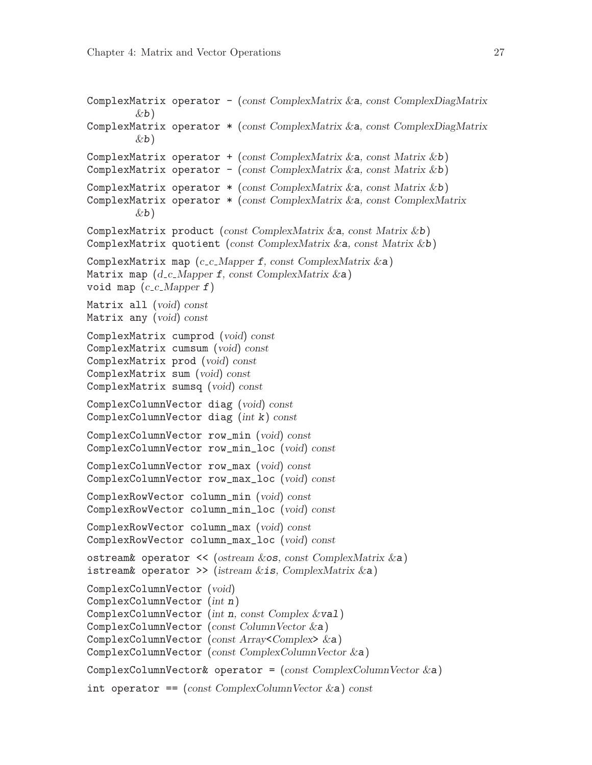```
ComplexMatrix operator - (const ComplexMatrix &a, const ComplexDiagMatrix
         \&b)ComplexMatrix operator * (const ComplexMatrix &a, const ComplexDiagMatrix
         \&b)ComplexMatrix operator + (const ComplexMatrix \&a, const Matrix \&b)
ComplexMatrix operator - (const ComplexMatrix \&a, const Matrix \&b)
ComplexMatrix operator *(\text{const } \text{ComplexMatrix } \& \mathbf{a}, \text{const } \text{Matrix } \& \mathbf{b})ComplexMatrix operator * (const ComplexMatrix &a, const ComplexMatrix
         \&b)ComplexMatrix product (const ComplexMatrix &a, const Matrix &b)
ComplexMatrix quotient (const ComplexMatrix &a, const Matrix &b)
ComplexMatrix map (c_c \dots Mapper \, f, \, const \, ComplexMatrix \, & a)Matrix map (d_c_M) Mapper f, const Complex Matrix \&a)void map (c_c c_M)Matrix all (void) const
Matrix any (void) const
ComplexMatrix cumprod (void) const
ComplexMatrix cumsum (void) const
ComplexMatrix prod (void) const
ComplexMatrix sum (void) const
ComplexMatrix sumsq (void) const
ComplexColumnVector diag (void) const
ComplexColumnVector diag (int k) const
ComplexColumnVector row_min (void) const
ComplexColumnVector row_min_loc (void) const
ComplexColumnVector row_max (void) const
ComplexColumnVector row_max_loc (void) const
ComplexRowVector column_min (void) const
ComplexRowVector column_min_loc (void) const
ComplexRowVector column_max (void) const
ComplexRowVector column_max_loc (void) const
ostream& operator << (ostream &os, const ComplexMatrix &a)
istream& operator >> (istream \&is, ComplexMatrix \&a)
ComplexColumnVector (void)
ComplexColumnVector (int n)
ComplexColumnVector (int n, const Complex &val)
ComplexColumnVector (const ColumnVector &a)
ComplexColumnVector (const Array<Complex> &a)
ComplexColumnVector (const ComplexColumnVector &a)
ComplexColumnVector& operator = (const \text{ ComplexColumnVector } \&a)int operator == \text{(const } \text{ComplexColumnVector } \&a\text{)} \text{ const}
```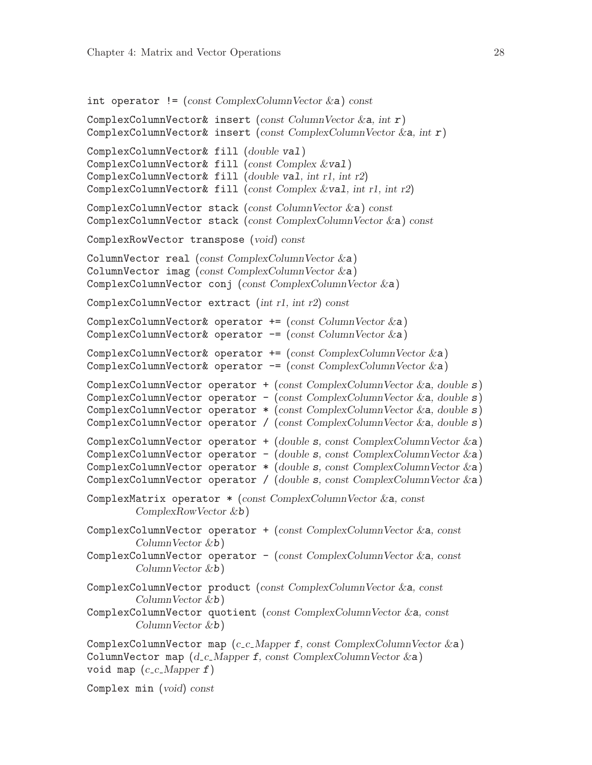```
int operator != (const ComplexColumnVector \&a) const
```

```
ComplexColumnVector& insert (const ColumnVector \&a, int r)
ComplexColumnVector& insert (const ComplexColumnVector \&a, int r)
ComplexColumnVector& fill (double val)
ComplexColumnVector& fill (const Complex &val)
ComplexColumnVector& fill (double val, int r1, int r2)
ComplexColumnVector& fill (const Complex &val, int r1, int r2)
ComplexColumnVector stack (const ColumnVector &a) const
ComplexColumnVector stack (const ComplexColumnVector &a) const
ComplexRowVector transpose (void) const
ColumnVector real (const ComplexColumnVector \&a))
ColumnVector imag (const ComplexColumnVector &a)
ComplexColumnVector conj (const ComplexColumnVector &a)
ComplexColumnVector extract (int r1, int r2) const
ComplexColumnVector& operator +=(\text{const} \text{ ColumnVector } \&a)ComplexColumnVector& operator - (const ColumnVector &a)
ComplexColumnVector& operator += (const ComplexColumnVector \&a))
ComplexColumnVector& operator - (const ComplexColumnVector &a)
ComplexColumnVector operator + (const \text{ ComplexColumnVector } \&a, \text{ double } s)ComplexColumnVector operator - (const ComplexColumnVector &a, double s)
ComplexColumnVector operator *(\text{const } \text{ComplexColumnVector } \&a, \text{ double } s)ComplexColumnVector operator / (const ComplexColumnVector \&a, double s)
ComplexColumnVector operator + (double s, const ComplexColumnVector \&a))
ComplexColumnVector operator - (double s, const ComplexColumnVector \&a))
ComplexColumnVector operator *(double s, const ComplexColumnVector & a)ComplexColumnVector operator / (double s, const ComplexColumnVector &a)
ComplexMatrix operator * (const ComplexColumnVector &a, const
         ComplexRowVector &b)
ComplexColumnVector operator + (const ComplexColumnVector & a, const)ColumnVector &b)
ComplexColumnVector operator -(\text{const } \text{ComplexColumnVector } \&a, \text{const}ColumnVector &b)
ComplexColumnVector product (const ComplexColumnVector &a, const
         ColumnVector &b)
ComplexColumnVector quotient (const ComplexColumnVector &a, const
         ColumnVector &b)
ComplexColumnVector map (c.c.Mapper f, const ComplexColumnVector & a)ColumnVector map (d_c_M) Mapper f, const ComplexColumnVector \&a)void map (c_c c_M)
```
Complex min (void) const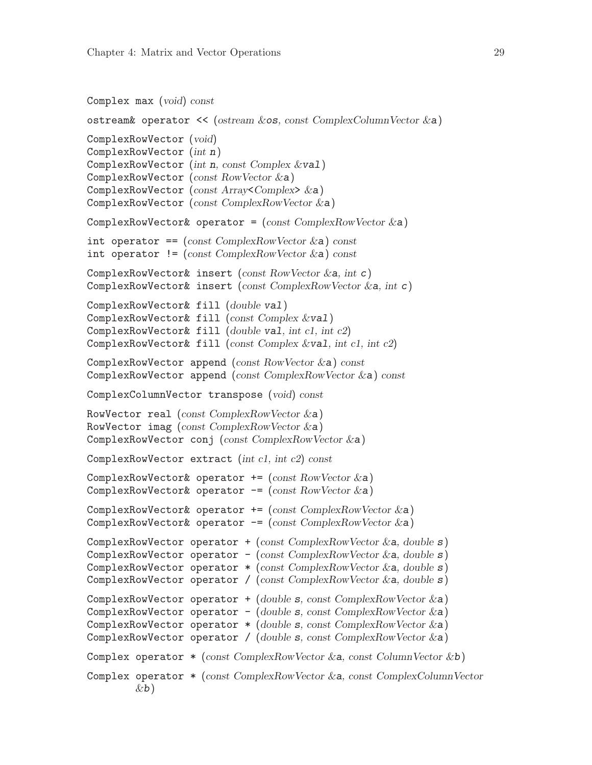```
Complex max (void) const
```

```
ostream& operator << (ostream &os, const ComplexColumnVector &a)
ComplexRowVector (void)
ComplexRowVector (int n)
ComplexRowVector (int n, const Complex &val)
ComplexRowVector (const RowVector &a)
ComplexRowVector (const Array<Complex> &a)
ComplexRowVector (const ComplexRowVector &a)
ComplexRowVector& operator = (const \text{ ComplexRowVector }\&a)int operator == (const ComplexRowVector & a) const
int operator != (const ComplexRowVector \&a) const
ComplexRowVector& insert (const RowVector & a, int c)ComplexRowVector& insert (const ComplexRowVector &a, int c)
ComplexRowVector& fill (double val)
ComplexRowVector& fill (const Complex &val)
ComplexRowVector& fill (double val, int c1, int c2)
ComplexRowVector& fill (const Complex &val, int c1, int c2)
ComplexRowVector append (const RowVector) const
ComplexRowVector append (const ComplexRowVector &a) const
ComplexColumnVector transpose (void) const
RowVector real (const ComplexRowVector &a)
RowVector imag (const ComplexRowVector)
ComplexRowVector conj (const ComplexRowVector &a)
ComplexRowVector extract (int c1, int c2) const
ComplexRowVector& operator += (const RowVector &a)
ComplexRowVector& operator - (const RowVector &a)
ComplexRowVector& operator += (const ComplexRowVector \&a))
ComplexRowVector& operator - (const ComplexRowVector &a)
ComplexRowVector operator + (const ComplexRowVector &a, double s)
ComplexRowVector operator - (const ComplexRowVector &a, double s)
ComplexRowVector operator *(\text{const } \text{ComplexRowVector } \&a, \text{ double } s)ComplexRowVector operator / (const ComplexRowVector &a, double s)
ComplexRowVector operator + (double s, const ComplexRowVector \&a))
ComplexRowVector operator - (double s, const ComplexRowVector \&a))
ComplexRowVector operator *(double s, const ComplexRowVector & a)ComplexRowVector operator / (double s, const ComplexRowVector &a)
Complex operator * (const ComplexRowVector &a, const ColumnVector &b)
Complex operator * (const ComplexRowVector &a, const ComplexColumnVector
        \&b)
```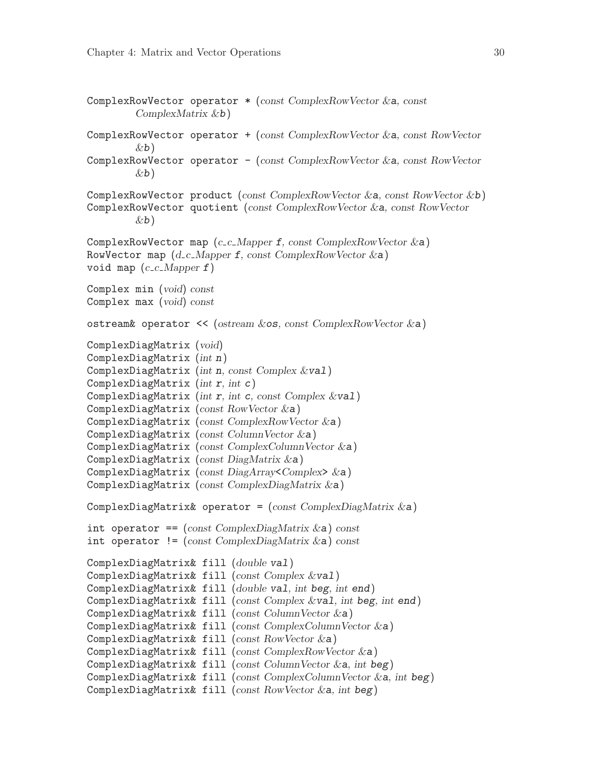```
ComplexRowVector operator * (const ComplexRowVector &a, const
         ComplexMatrix &b)
ComplexRowVector operator + (const ComplexRowVector &a, const RowVector
         \&b)ComplexRowVector operator - (const ComplexRowVector &a, const RowVector
        \&b)ComplexRowVector product (const ComplexRowVector &a, const RowVector &b)
ComplexRowVector quotient (const ComplexRowVector &a, const RowVector
         \&b)ComplexRowVector map (c_c c_M)Mapper f, const ComplexRowVector \&a)RowVector map (d_c_M) Mapper f, const ComplexRowVector \&a)void map (c_c c_M)Complex min (void) const
Complex max (void) const
ostream& operator << (ostream &os, const ComplexRowVector &a)
ComplexDiagMatrix (void)
ComplexDiagMatrix (int n)
ComplexDiagMatrix (int n, const Complex &val)
ComplexDiagMatrix (int r, int c)ComplexDiagMatrix (int r, int c, const Complex \&\text{val})
ComplexDiagMatrix (const RowVector &a)
ComplexDiagMatrix (const ComplexRowVector &a)
ComplexDiagMatrix (const ColumnVector &a)
ComplexDiagMatrix (const ComplexColumn Vector & \textbf{a})ComplexDiagMatrix (const DiagMatrix &a)
ComplexDiagMatrix (const DiagArray<Complex> &a)
ComplexDiagMatrix (const ComplexDiagMatrix &a)
ComplexDiagMatrix& operator = (const \text{ ComplexDiagMatrix} \& a)int operator == (const \text{ ComplexDiagMatrix} \& a) \text{ const}int operator != (const ComplexDiagMatrix \&a) const
ComplexDiagMatrix& fill (double val)
ComplexDiagMatrix& fill (const Complex &val)
ComplexDiagMatrix& fill (double val, int beg, int end)
ComplexDiagMatrix& fill (const Complex &val, int beg, int end)
ComplexDiagMatrix& fill (const ColumnVector \&a)ComplexDiagMatrix& fill (const ComplexColumnVector &a)
ComplexDiagMatrix& fill (const RowVector & a)ComplexDiagMatrix& fill (const ComplexRowVector &a)
ComplexDiagMatrix& fill (const ColumnVector &a, int beg)
ComplexDiagMatrix& fill (const ComplexColumnVector &a, int beg)
ComplexDiagMatrix& fill (const RowVector & a, int beg)
```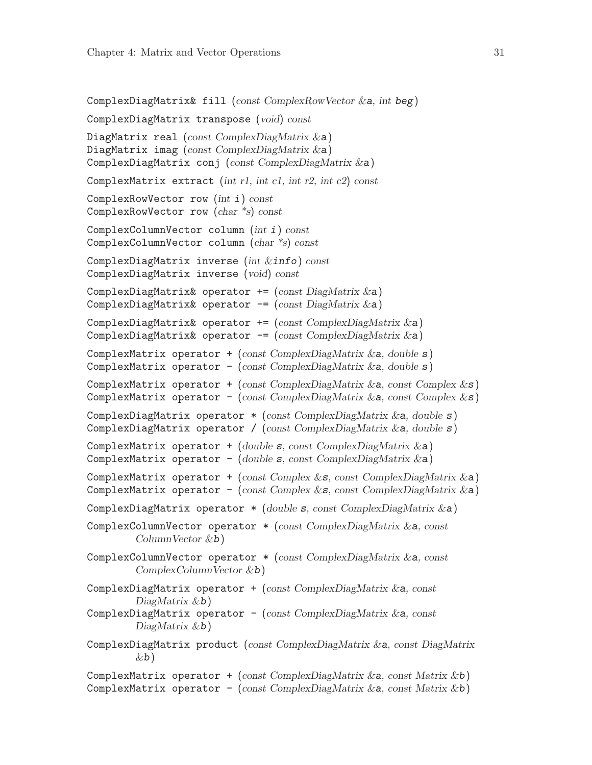```
ComplexDiagMatrix& fill (const ComplexRowVector &a, int beg)
ComplexDiagMatrix transpose (void) const
DiagMatrix real (const ComplexDiagMatrix & a)
DiagMatrix imag (const ComplexDiagMatrix & a)
ComplexDiagMatrix conj (const ComplexDiagMatrix &a)
ComplexMatrix extract (int r1, int c1, int r2, int c2) const
ComplexRowVector row (int i) const
ComplexRowVector row (char *s) const
ComplexColumnVector column (int i) const
ComplexColumnVector column (char *s) const
ComplexDiagMatrix inverse (int \; &info) const
ComplexDiagMatrix inverse (void) const
ComplexDiagMatrix& operator += (const DiagMatrix \&a)
ComplexDiagMatrix& operator -= (const DiagMatrix &a)
ComplexDiagMatrix& operator += (const ComplexDiagMatrix \&a))
ComplexDiagMatrix& operator - (const ComplexDiagMatrix &a)
ComplexMatrix operator + (const ComplexDiagMatrix \&a, double s))
ComplexMatrix operator - (const ComplexDiagMatrix \&a, double s))
ComplexMatrix operator + (const ComplexDiagMatrix \&a, const Complex \&s)
ComplexMatrix operator - (const ComplexDiagMatrix \&a, const Complex \&bs)
ComplexDiagMatrix operator *(\text{const } \text{ComplexDiagMatrix } \&a, \text{ double } s)ComplexDiagMatrix operator / (const ComplexDiagMatrix \&a, double s)
ComplexMatrix operator +(double s, const ComplexDiagMatrix & a)ComplexMatrix operator - (double s, const ComplexDiagMatrix &a)
ComplexMatrix operator + (const Complex &s, const ComplexDiagMatrix \&a))
ComplexMatrix operator - (const Complex &s, const ComplexDiagMatrix \&a))
ComplexDiagMatrix operator * (double s, const ComplexDiagMatrix \&a))
ComplexColumnVector operator * (const ComplexDiagMatrix &a, const
         ColumnVector &b)
ComplexColumnVector operator * (const ComplexDiagMatrix &a, const
         ComplexColumnVector &b)
ComplexDiagMatrix operator + (const \text{ ComplexDiagMatrix} \&a, \text{const}DiagMatrix &b)
ComplexDiagMatrix operator - (const \text{ ComplexDiagMatrix} \&a, \text{const}DiagMatrix \& b)ComplexDiagMatrix product (const ComplexDiagMatrix &a, const DiagMatrix
         \&b)ComplexMatrix operator + (const ComplexDiagMatrix &a, const Matrix &b)
ComplexMatrix operator - (const ComplexDiagMatrix &a, const Matrix &b)
```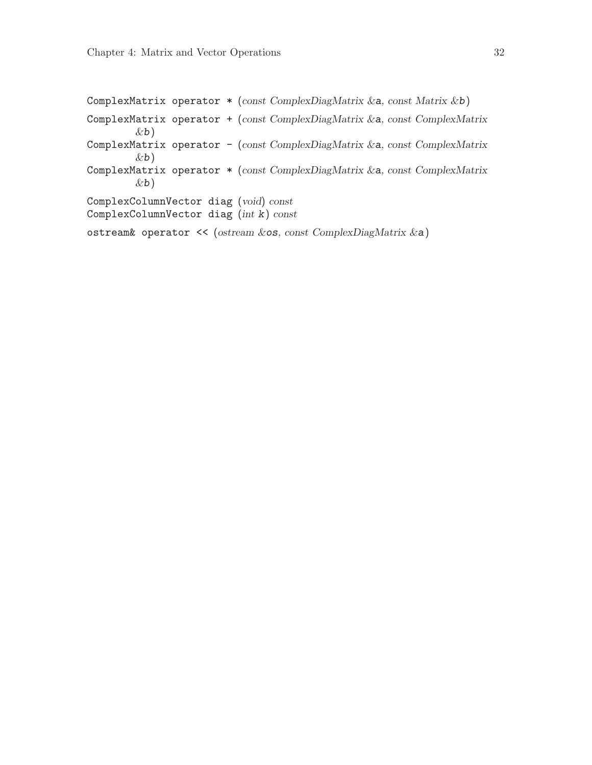<span id="page-35-0"></span>ComplexMatrix operator \* (const ComplexDiagMatrix &a, const Matrix &b) ComplexMatrix operator + (const ComplexDiagMatrix &a, const ComplexMatrix  $\&b)$ ComplexMatrix operator - (const ComplexDiagMatrix &a, const ComplexMatrix  $\&b)$ ComplexMatrix operator \* (const ComplexDiagMatrix &a, const ComplexMatrix  $\&b)$ ComplexColumnVector diag (void) const ComplexColumnVector diag (int k) const ostream& operator << (ostream &os, const ComplexDiagMatrix &a)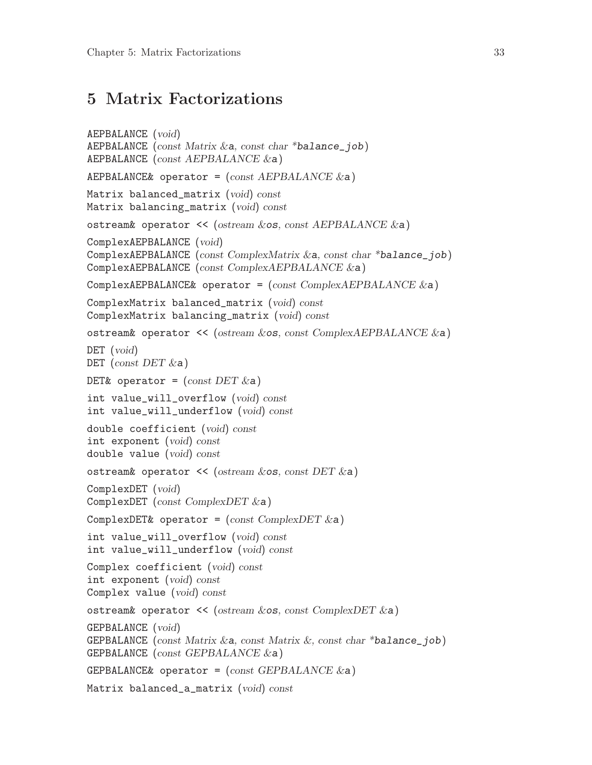#### <span id="page-36-0"></span>5 Matrix Factorizations

```
AEPBALANCE (void)
AEPBALANCE (const Matrix \&a, const char *balance_job)
AEPBALANCE (const AEPBALANCE &a)
AEPBALANCE& operator = (const \text{ AEPBALANCE } \&a)Matrix balanced_matrix (void) const
Matrix balancing_matrix (void) const
ostream& operator << (ostream &os, const AEPBALANCE &a)
ComplexAEPBALANCE (void)
ComplexAEPBALANCE (const ComplexMatrix &a, const char *balance_job)
ComplexAEPBALANCE (const ComplexAEPBALANCE &a)
ComplexAEPBALANCE& operator = (const \text{ ComplexAEPBALANCE} \& a)ComplexMatrix balanced_matrix (void) const
ComplexMatrix balancing_matrix (void) const
ostream& operator << (ostream &os, const ComplexAEPBALANCE &a)
DET (void)
DET (const DET \&a)DET& operator = (const DET \&a)int value_will_overflow (void) const
int value_will_underflow (void) const
double coefficient (void) const
int exponent (void) const
double value (void) const
ostream& operator \prec (ostream &os, const DET &a)
ComplexDET (void)
ComplexDET (const ComplexDET &a)
ComplexDET& operator = (const \text{ ComplexDET } \& a)int value_will_overflow (void) const
int value_will_underflow (void) const
Complex coefficient (void) const
int exponent (void) const
Complex value (void) const
ostream& operator << (ostream &os, const ComplexDET &a)
GEPBALANCE (void)
GEPBALANCE (const Matrix & a, const Matrix &, const char *balance_job)
GEPBALANCE (const GEPBALANCE &a)
GEPBALANCE& operator = (const \text{ GEPBALANCE } \&a)Matrix balanced_a_matrix (void) const
```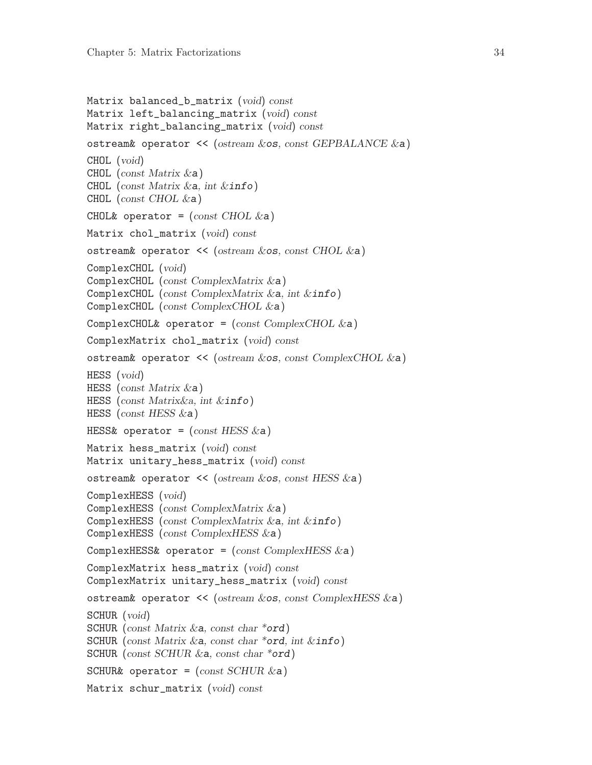```
Matrix balanced_b_matrix (void) const
Matrix left_balancing_matrix (void) const
Matrix right_balancing_matrix (void) const
ostream& operator << (ostream &os, const GEPBALANCE &a)
CHOL (void)
CHOL (const Matrix & a)CHOL (const Matrix & a, int \&info)
CHOL (const CHOL \&a))
CHOL& operator = \text{(const } \text{CHOL} \&a)Matrix chol_matrix (void) const
ostream& operator << (ostream &os, const CHOL &a)
ComplexCHOL (void)
ComplexCHOL (const ComplexMatrix &a)
ComplexCHOL (const ComplexMatrix &a, int &info)
ComplexCHOL (const ComplexCHOL &a)
ComplexCHOL& operator = (const \text{ ComplexCHOL} \&a)ComplexMatrix chol_matrix (void) const
ostream& operator << (ostream &os, const ComplexCHOL &a)
HESS (void)
HESS (const Matrix \&a))
HESS (const Matrix&a, int &info)
HESS (const HESS &a)
HESS& operator = (const \text{ HESS} \&a)Matrix hess_matrix (void) const
Matrix unitary_hess_matrix (void) const
ostream& operator << (ostream &os, const HESS &a)
ComplexHESS (void)
ComplexHESS (const ComplexMatrix &a)
ComplexHESS (const ComplexMatrix &a, int &info)
ComplexHESS (const ComplexHESS &a)
ComplexHESS& operator = (const \text{ Complex} \times \text{ESS} \& a)ComplexMatrix hess_matrix (void) const
ComplexMatrix unitary_hess_matrix (void) const
ostream& operator << (ostream &os, const ComplexHESS &a)
SCHUR (void)
SCHUR (const Matrix &a, const char *ord)
SCHUR (const Matrix & a, const char *ord, int \& info)
SCHUR (const SCHUR \&a, const char *ord)
SCHUR& operator = (const SCHUR \&a)Matrix schur_matrix (void) const
```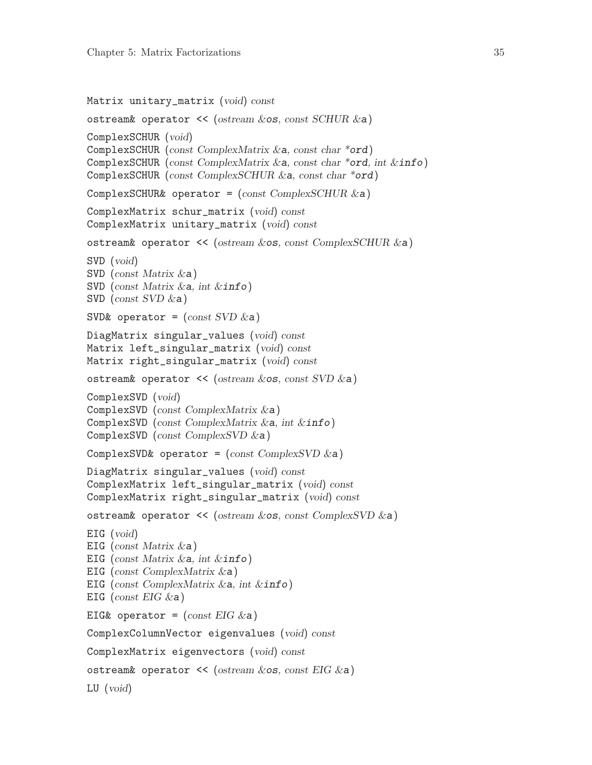```
Matrix unitary_matrix (void) const
ostream& operator << (ostream &os, const SCHUR &a)
ComplexSCHUR (void)
ComplexSCHUR (const ComplexMatrix &a, const char *ord)
ComplexSCHUR (const ComplexMatrix &a, const char *ord, int &info)
ComplexSCHUR (const ComplexSCHUR &a, const char *ord)
ComplexSCHUR& operator = (const ComplexSCHUR &a)
ComplexMatrix schur_matrix (void) const
ComplexMatrix unitary_matrix (void) const
ostream& operator << (ostream &os, const ComplexSCHUR &a)
SVD (void)
SVD (const Matrix &a)
SVD (const Matrix &a, int &info)
SVD (const SVD \&a))
SVD& operator = \text{(const SVD \&a)}DiagMatrix singular_values (void) const
Matrix left_singular_matrix (void) const
Matrix right_singular_matrix (void) const
ostream& operator \lt\lt (ostream &os, const SVD &a)
ComplexSVD (void)
ComplexSVD (const ComplexMatrix &a)
ComplexSVD (const ComplexMatrix &a, int &info)
ComplexSVD (const ComplexSVD &a)
ComplexSVD& operator = (const \text{ ComplexSVD} \& a)DiagMatrix singular_values (void) const
ComplexMatrix left_singular_matrix (void) const
ComplexMatrix right_singular_matrix (void) const
ostream& operator \prec (ostream \&os, const ComplexSVD \&a)
EIG (void)
EIG (const Matrix \&a))
EIG (const Matrix &a, int &info)
EIG (const ComplexMatrix &a)
EIG (const ComplexMatrix &a, int &info)
EIG (const EIG \&a))
EIG& operator = (const \text{ EIG } \&a)ComplexColumnVector eigenvalues (void) const
ComplexMatrix eigenvectors (void) const
ostream& operator \prec (ostream \&os, const EIG \&a)
LU (void)
```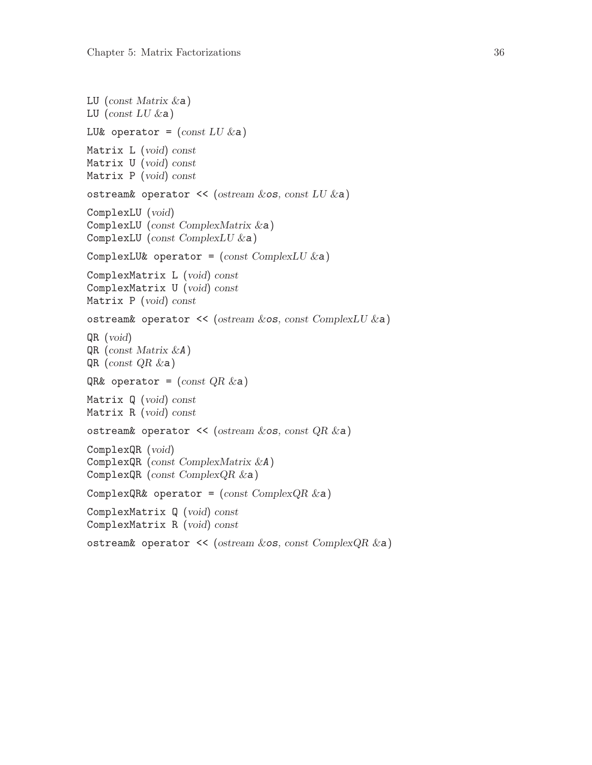```
LU (const Matrix \&a))
LU (const LU &a)
LU& operator = \text{(const }LU \&a)Matrix L (void) const
Matrix U (void) const
Matrix P (void) const
ostream& operator \prec (ostream \&os, const LU \&a)
ComplexLU (void)
ComplexLU (const ComplexMatrix &a)
ComplexLU (const ComplexLU &a)
ComplexLU& operator = (const \; ComplexLU \&a)ComplexMatrix L (void) const
ComplexMatrix U (void) const
Matrix P (void) const
ostream& operator << (ostream &os, const ComplexLU &a)
QR (void)
QR (const Matrix &A)
QR (const QR &a)
QR& operator = (const QR & a)Matrix Q (void) const
Matrix R (void) const
ostream& operator \prec (ostream &os, const QR &a)
ComplexQR (void)
ComplexQR (const ComplexMatrix &A)
ComplexQR (const ComplexQR &a)
ComplexQR& operator = (const \text{ Complex}QR & a)ComplexMatrix Q (void) const
ComplexMatrix R (void) const
ostream& operator << (ostream &os, const ComplexQR &a)
```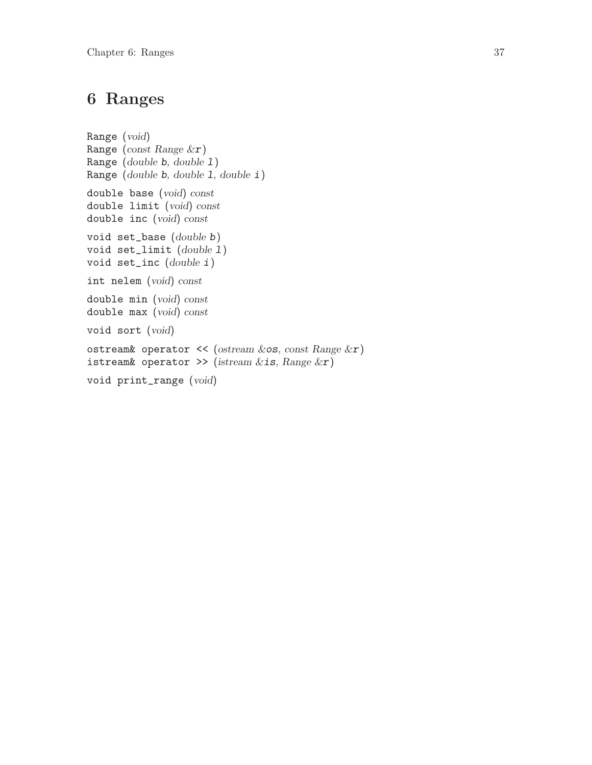## <span id="page-40-0"></span>6 Ranges

```
Range (void)
Range (const Range &r)
Range (double b, double l)
Range (double b, double l, double i)
double base (void) const
double limit (void) const
double inc (void) const
void set_base (double b)
void set_limit (double l)
void set_inc (double i)
int nelem (void) const
double min (void) const
double max (void) const
void sort (void)
ostream& operator << (ostream &os, const Range &r)
istream& operator >> (istream &is, Range &r)
void print_range (void)
```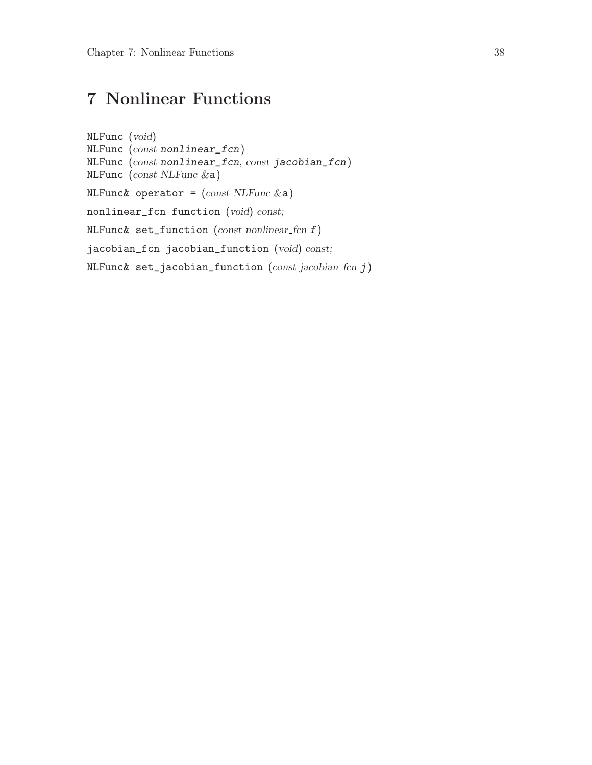# <span id="page-41-0"></span>7 Nonlinear Functions

```
NLFunc (void)
NLFunc (const nonlinear_fcn)
NLFunc (const nonlinear_fcn, const jacobian_fcn)
NLFunc (const NLFunc &a)
NLFunc& operator = (const \, NLFunc \, \&a)nonlinear_fcn function (void) const;
NLFunc& set_function (const \text{ nonlinear\_} \text{for } f)jacobian_fcn jacobian_function (void) const;
NLFunc\& set_jacobian_function (const jacobian_fcn j)
```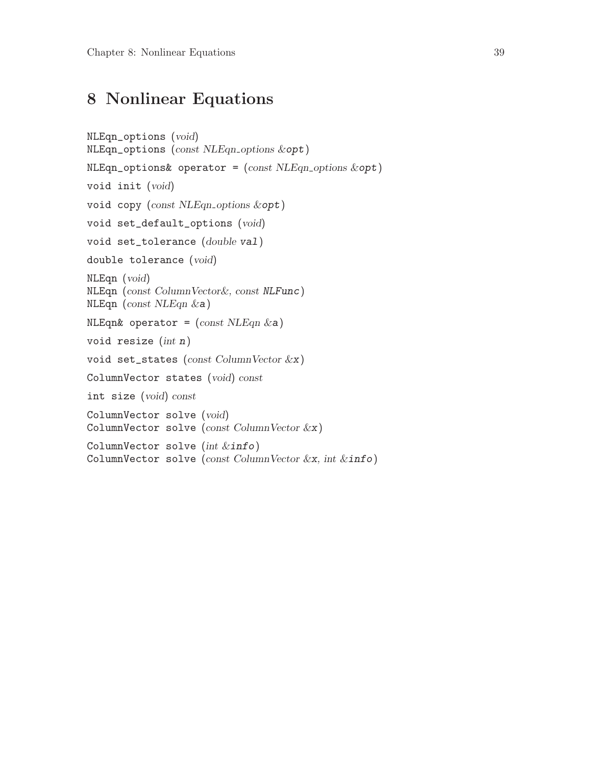## <span id="page-42-0"></span>8 Nonlinear Equations

```
NLEqn_options (void)
NLEqn_options (const NLEqn_options &opt)
NLEqn_-options& operator = (const NLEqn_-options &opt)
void init (void)
void copy (const NLEqn_options &opt)
void set_default_options (void)
void set_tolerance (double val)
double tolerance (void)
NLEqn (void)
NLEqn (const ColumnVector&, const NLFunc)
NLEqn (const NLEqn &a)
NLEqn& operator = (const \, NLEqn \, & a)void resize (int n)
void set_states (const ColumnVector &x)
ColumnVector states (void) const
int size (void) const
ColumnVector solve (void)
ColumnVector solve (const ColumnVector &x)
ColumnVector solve (int &info)
ColumnVector solve (const ColumnVector &x, int &\text{info})
```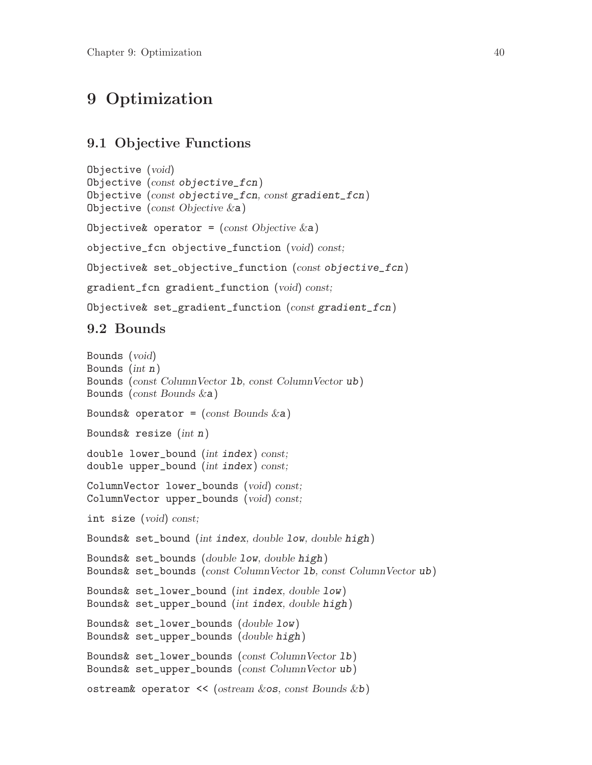### <span id="page-43-0"></span>9 Optimization

#### 9.1 Objective Functions

```
Objective (void)
Objective (const objective_fcn)
Objective (const objective_fcn, const gradient_fcn)
Objective (const Objective \&a)Objective & operator = (const Objective \&a)objective_fcn objective_function (void) const;
Objective& set_objective_function (const objective_fcn)
gradient_fcn gradient_function (void) const;
Objective& set_gradient_function (const gradient_fcn)
```
#### 9.2 Bounds

```
Bounds (void)
Bounds (int n)Bounds (const ColumnVector lb, const ColumnVector ub)
Bounds (const Bounds &a)
Bounds& operator = (const Bounds \&a)Bounds\& resize (int n)
double lower_bound (int index) const;
double upper_bound (int index) const;
ColumnVector lower_bounds (void) const;
ColumnVector upper_bounds (void) const;
int size (void) const;
Bounds& set_bound (int index, double low, double high)
Bounds& set_bounds (double low, double high)
Bounds& set_bounds (const ColumnVector lb, const ColumnVector ub)
Bounds& set_lower_bound (int index, double low)
Bounds& set_upper_bound (int index, double high)
Bounds& set_lower_bounds (double low)
Bounds& set_upper_bounds (double high)
Bounds& set_lower_bounds (const ColumnVector lb)
Bounds& set_upper_bounds (const ColumnVector ub)
ostream& operator \lt\lt (ostream &os, const Bounds &b)
```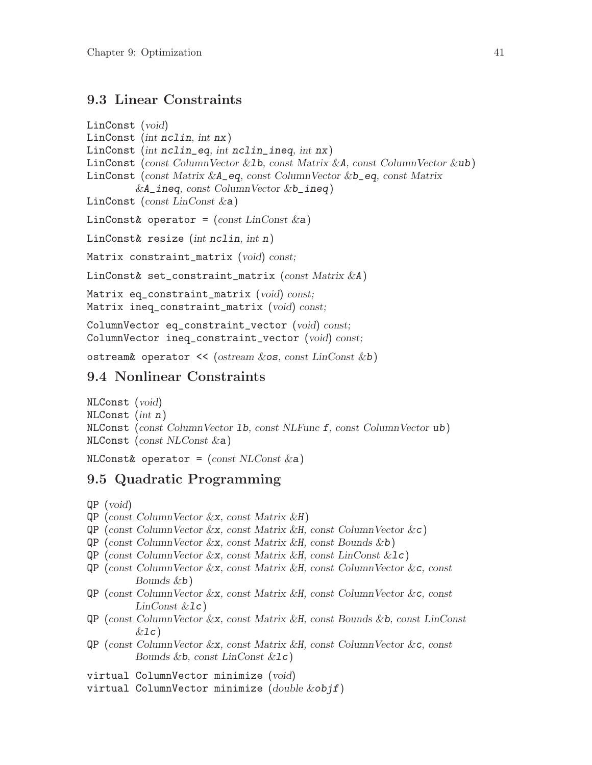#### <span id="page-44-0"></span>9.3 Linear Constraints

LinConst (void) LinConst (int nclin, int nx) LinConst (int nclin\_eq, int nclin\_ineq, int nx) LinConst (const ColumnVector &1b, const Matrix &A, const ColumnVector &ub) LinConst (const Matrix & A\_eq, const ColumnVector & b\_eq, const Matrix  $&A\_ineq$ , const ColumnVector  $&b\_ineq)$ LinConst (const LinConst  $\&a)$ ) LinConst& operator =  $(const \ LinConst \&a)$ LinConst& resize (int nclin, int n) Matrix constraint\_matrix (void) const; LinConst& set\_constraint\_matrix (const Matrix &A) Matrix eq\_constraint\_matrix (void) const; Matrix ineq\_constraint\_matrix (void) const; ColumnVector eq\_constraint\_vector (void) const; ColumnVector ineq\_constraint\_vector (void) const;

ostream& operator  $\ll$  (ostream &os, const LinConst &b)

#### 9.4 Nonlinear Constraints

NLConst (void) NLConst (int n) NLConst (const ColumnVector lb, const NLFunc f, const ColumnVector ub) NLConst (const NLConst &a)

NLConst& operator =  $(const NLConst & a)$ 

#### 9.5 Quadratic Programming

QP (void)

- $QP$  (const ColumnVector &x, const Matrix &H)
- $QP$  (const Column Vector &x, const Matrix &H, const Column Vector &c)
- $QP$  (const Column Vector &x, const Matrix &H, const Bounds &b)
- $QP$  (const ColumnVector &x, const Matrix &H, const LinConst &1c)
- QP (const ColumnVector &x, const Matrix &H, const ColumnVector &c, const Bounds &b)
- QP (const ColumnVector &x, const Matrix &H, const ColumnVector &c, const  $LinConst$   $&1c$ )
- QP (const ColumnVector &x, const Matrix &H, const Bounds &b, const LinConst  $&$ lc)
- QP (const ColumnVector &x, const Matrix &H, const ColumnVector &c, const Bounds  $&\mathbf{b}$ , const LinConst  $&\mathbf{l}c$ )
- virtual ColumnVector minimize (void)
- virtual ColumnVector minimize (double &objf)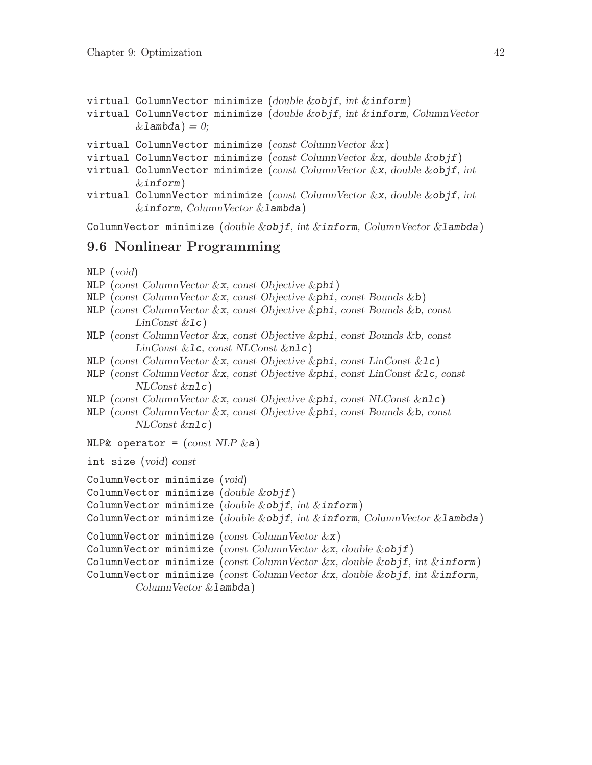```
virtual ColumnVector minimize (double &objf, int &inform)
virtual ColumnVector minimize (double &objf, int &inform, ColumnVector
        &lambda) = 0;
```
virtual ColumnVector minimize ( $const$  ColumnVector  $\&$ x)

```
virtual ColumnVector minimize (const ColumnVector \&x, double \&obif)
```
- virtual ColumnVector minimize (const ColumnVector &x, double &objf, int  $\&$ inform $)$
- virtual ColumnVector minimize (const ColumnVector  $\&x$ , double  $\&objf,$  int &inform, ColumnVector &lambda)

ColumnVector minimize (double  $&$ objf, int  $&$ inform, ColumnVector  $&$ lambda)

#### 9.6 Nonlinear Programming

- NLP (void)
- $NLP$  (const Column Vector  $&x$ , const Objective  $φ$ )
- NLP (const ColumnVector &x, const Objective &phi, const Bounds &b)
- NLP (const ColumnVector  $\&x$ , const Objective  $\&p\text{hi}$ , const Bounds  $\&b$ , const  $LinConst \&1c)$
- NLP (const ColumnVector  $\&x$ , const Objective  $\&p$ hi, const Bounds  $\&b$ , const LinConst &lc, const NLConst &nlc)
- NLP (const ColumnVector &x, const Objective &phi, const LinConst &lc)
- NLP (const ColumnVector  $\&x$ , const Objective  $\φ$ , const LinConst  $\&1c$ , const NLConst &nlc)
- NLP (const ColumnVector &x, const Objective &phi, const NLConst &nlc)
- NLP (const ColumnVector  $\&x$ , const Objective  $\&p\text{hi}$ , const Bounds  $\&b$ , const NLConst &nlc)
- NLP& operator =  $(const \, NLP &a)$

int size (void) const

```
ColumnVector minimize (void)
```

```
ColumnVector minimize (double &objf)
```

```
ColumnVector minimize (double &objf, int &inform)
```
ColumnVector minimize (double  $&$ objf, int  $&$ inform, ColumnVector  $&$ lambda)

```
ColumnVector minimize (const ColumnVector &x)
```

```
ColumnVector minimize (const ColumnVector \&x, double \&objf)
```

```
ColumnVector minimize (const ColumnVector &x, double &objf, int &inform)
```

```
ColumnVector minimize (const ColumnVector \&x, double \&obif, int \&inform,
        ColumnVector &lambda)
```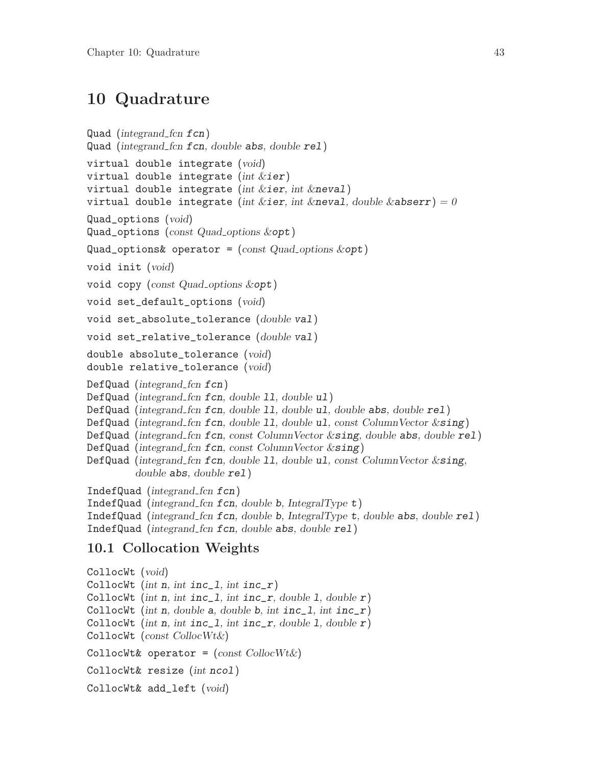### <span id="page-46-0"></span>10 Quadrature

```
Quad (integrand fcn fcn)
Quad (integrand fcn fcn, double abs, double rel)
virtual double integrate (void)
virtual double integrate (int &ier)
virtual double integrate (int &ier, int &neval)
virtual double integrate (int &ier, int &neval, double &abserr) = 0
Quad_options (void)
Quad_options (const Quad_options &opt)
Quad_options& operator = (const Quad<sub>-</sub>options &<sub>opt</sub>)void init (void)
void copy (const Quad options &opt)
void set_default_options (void)
void set_absolute_tolerance (double val)
void set_relative_tolerance (double val)
double absolute_tolerance (void)
double relative_tolerance (void)
DefQuad (integrand fcn fcn)
Defquad (integrand_fn for, double 11, double u1)DefQuad (integrand_fcn fcn, double 11, double u1, double abs, double rel)
DefQuad (integrand fcn fcn, double 11, double ul, const Column Vector \&sing)
DefQuad (integrand fcn fcn, const Column Vector \&sing, double abs, double rel)
Defquad (integrand_fn for, const ColumnVector \&sing)DefQuad (integrand fcn fcn, double 11, double ul, const Column Vector & sing,
         double abs, double rel)
IndefQuad (integrand fcn fcn)
IndefQuad (integrand fcn fcn, double b, IntegralType t)
IndefQuad (integrand fcn fcn, double b, IntegralType t, double abs, double rel)
IndefQuad (integrand_fn for, double abs, double rel)
```
#### 10.1 Collocation Weights

```
CollocWt (void)
CollocWt (int n, int inc_1, int inc_r)
CollocWt (int n, int inc_1, int inc_r, double 1, double r)
CollocWt (int n, double a, double b, int inc_1, int inc_r)
CollocWt (int n, int inc_1, int inc_r, double 1, double r)
CollocWt (const CollocWt&)
CollocWt& operator = (const \text{ CollocWt\&})CollocWt& resize (int ncol)
CollocWt& add_left (void)
```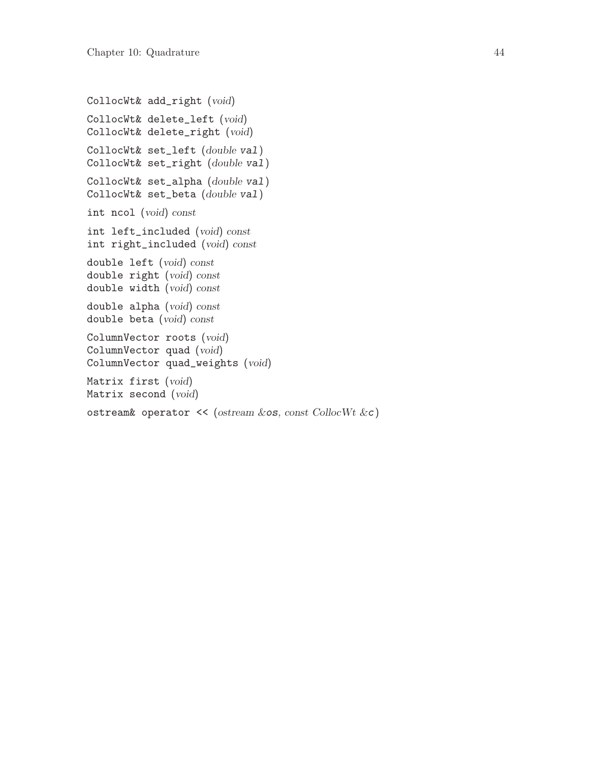```
CollocWt& add_right (void)
CollocWt& delete_left (void)
CollocWt& delete_right (void)
CollocWt& set_left (double val)
CollocWt& set_right (double val)
CollocWt& set_alpha (double val)
CollocWt& set_beta (double val)
int ncol (void) const
int left_included (void) const
int right_included (void) const
double left (void) const
double right (void) const
double width (void) const
double alpha (void) const
double beta (void) const
ColumnVector roots (void)
ColumnVector quad (void)
ColumnVector quad_weights (void)
Matrix first (void)
Matrix second (void)
ostream& operator \prec (ostream &os, const CollocWt &c)
```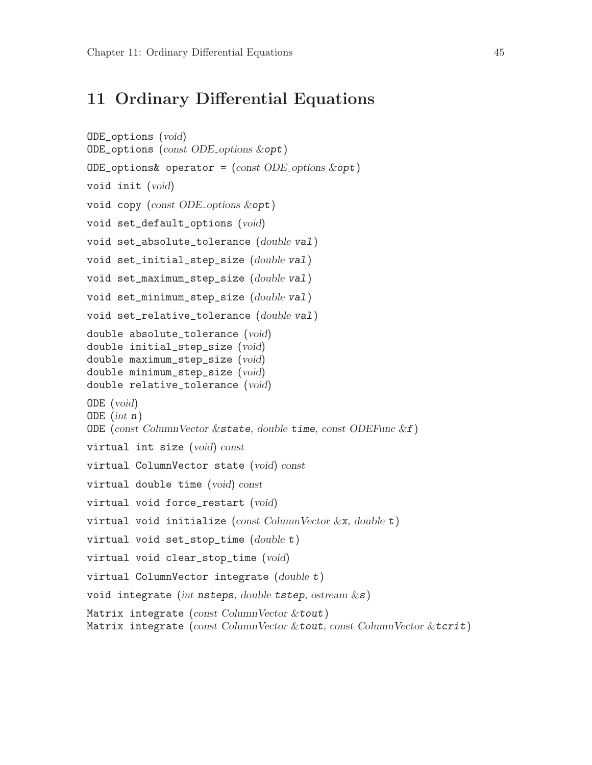#### <span id="page-48-0"></span>11 Ordinary Differential Equations

```
ODE_options (void)
ODE_options (const ODE options &opt)
ODE_options& operator = (const ODE_options &opt)
void init (void)
void copy (const ODE options &opt)
void set_default_options (void)
void set_absolute_tolerance (double val)
void set_initial_step_size (double val)
void set_maximum_step_size (double val)
void set_minimum_step_size (double val)
void set_relative_tolerance (double val)
double absolute_tolerance (void)
double initial_step_size (void)
double maximum_step_size (void)
double minimum_step_size (void)
double relative_tolerance (void)
ODE (void)
ODE (int n)ODE (const ColumnVector \&state, double time, const ODEFunc \&f)
virtual int size (void) const
virtual ColumnVector state (void) const
virtual double time (void) const
virtual void force_restart (void)
virtual void initialize (const ColumnVector \&x, double t)
virtual void set_stop_time (double t)virtual void clear_stop_time (void)
virtual ColumnVector integrate (double t)
void integrate (int nsteps, double tstep, ostream \&s)
Matrix integrate (const ColumnVector & tout)
Matrix integrate (const ColumnVector &tout, const ColumnVector &tcrit)
```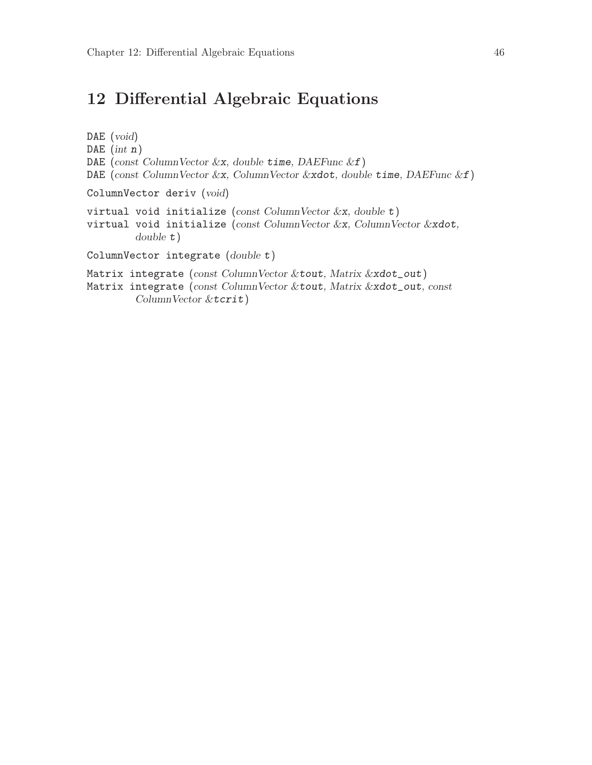## <span id="page-49-0"></span>12 Differential Algebraic Equations

DAE (void) DAE  $(int n)$ DAE (const ColumnVector  $&x$ , double time, DAEFunc  $&f$ ) DAE (const ColumnVector &x, ColumnVector &xdot, double time, DAEFunc &f) ColumnVector deriv (void) virtual void initialize (const ColumnVector  $\&x$ , double t) virtual void initialize (const ColumnVector &x, ColumnVector &xdot, double t) ColumnVector integrate (double t) Matrix integrate (const ColumnVector &tout, Matrix &xdot\_out) Matrix integrate (const ColumnVector &tout, Matrix &xdot\_out, const ColumnVector &tcrit)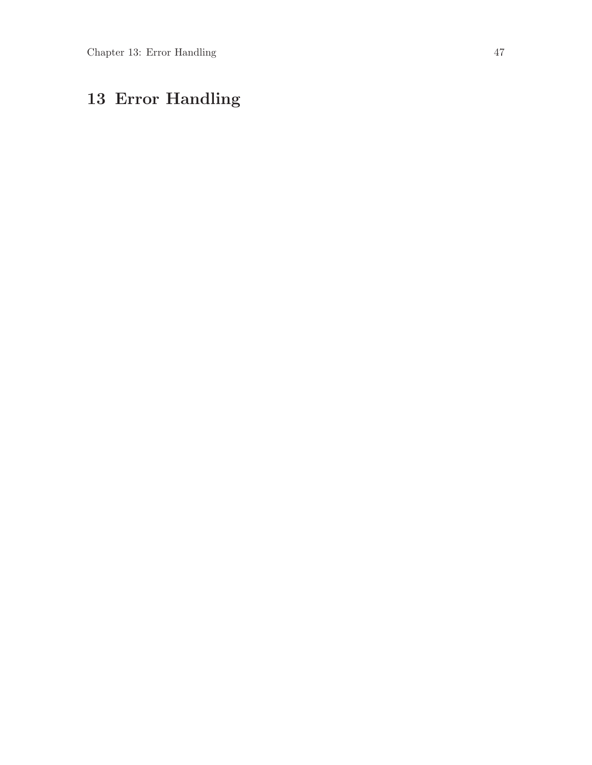# <span id="page-50-0"></span>13 Error Handling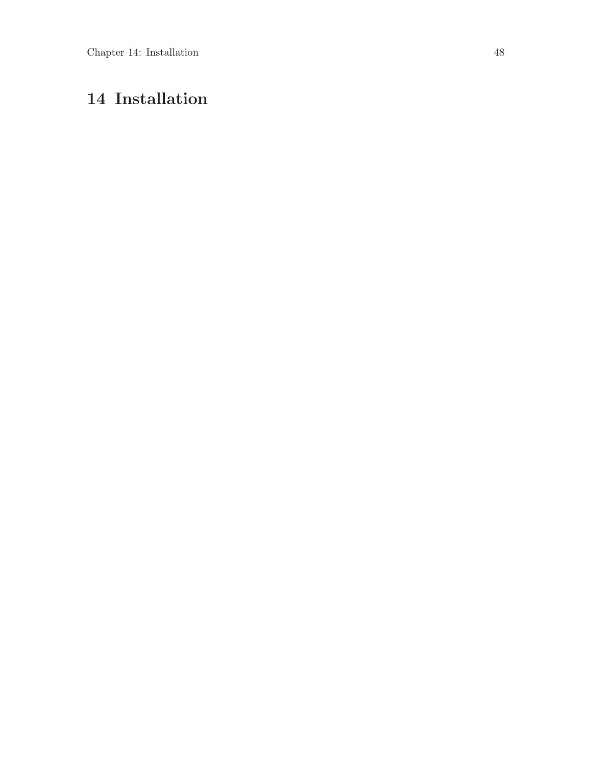# <span id="page-51-0"></span>14 Installation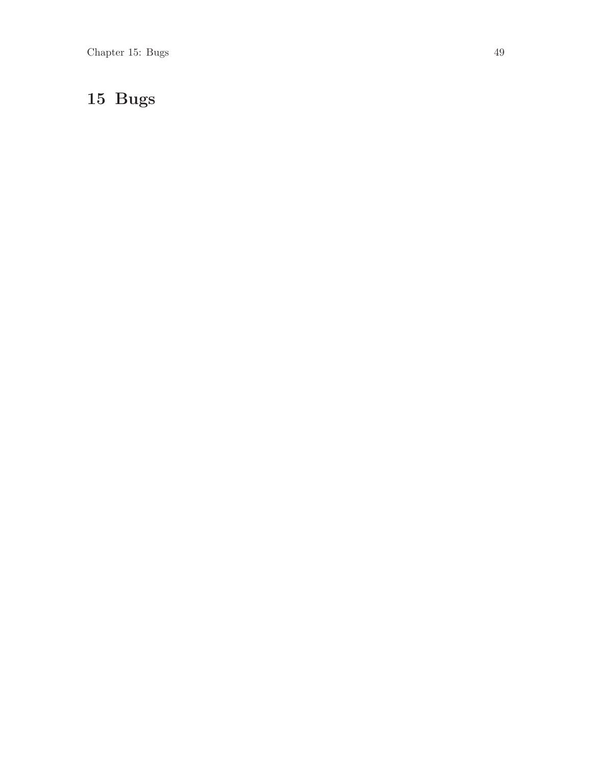# <span id="page-52-0"></span>15 Bugs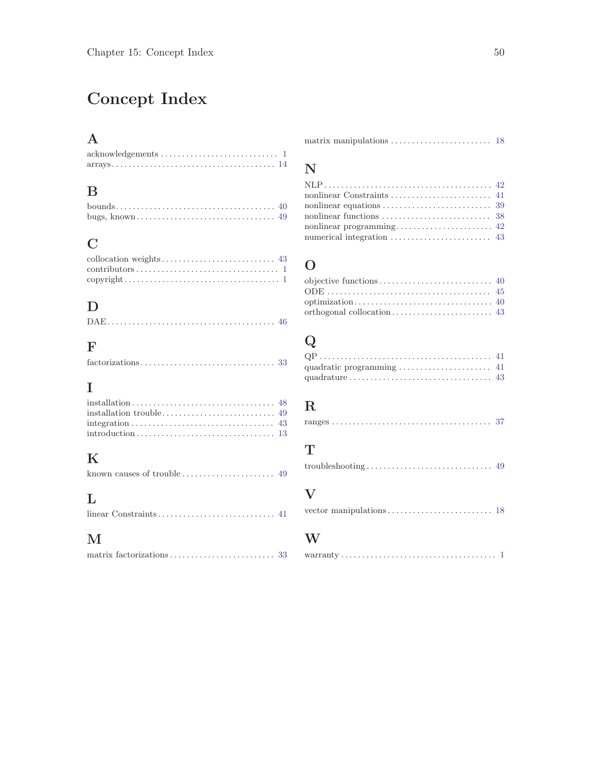# <span id="page-53-0"></span>Concept Index

## A

#### $\, {\bf B}$

### C

| $\text{contributions} \dots \dots \dots \dots \dots \dots \dots \dots \dots \dots \dots \dots \dots$ |  |
|------------------------------------------------------------------------------------------------------|--|
|                                                                                                      |  |

### $\mathbf D$

|--|--|--|

## F

| $factorizations \ldots \ldots \ldots \ldots \ldots \ldots \ldots \ldots \ldots \ldots \ldots 33$ |  |
|--------------------------------------------------------------------------------------------------|--|
|                                                                                                  |  |

### I

# K

|--|--|--|--|--|--|--|

# L

# M

## N

| nonlinear equations $\ldots \ldots \ldots \ldots \ldots \ldots \ldots \ldots$ 39 |  |
|----------------------------------------------------------------------------------|--|
|                                                                                  |  |
|                                                                                  |  |
| numerical integration $\dots \dots \dots \dots \dots \dots \dots$ 43             |  |

### O

# ${\bf Q}$

### ${\bf R}$

#### T

```
troubleshooting . . . . . . . . . . . . . . . . . . . . . . . . . . . . . . 49
```
#### V

```
vector manipulations . . . . . . . . . . . . . . . . . . . . . . . . . 18
```
#### W

|--|--|--|--|--|--|--|--|--|--|--|--|--|--|--|--|--|--|--|--|--|--|--|--|--|--|--|--|--|--|--|--|--|--|--|--|--|--|--|--|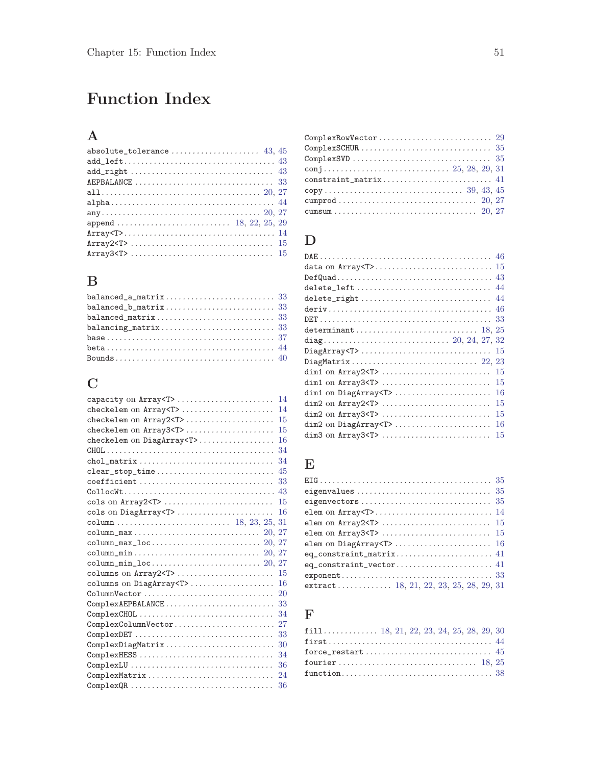# <span id="page-54-0"></span>Function Index

## A

| absolute_tolerance $43, 45$                                                           |
|---------------------------------------------------------------------------------------|
|                                                                                       |
|                                                                                       |
| AEPBALANCE $\ldots \ldots \ldots \ldots \ldots \ldots \ldots \ldots \ldots \ldots 33$ |
|                                                                                       |
|                                                                                       |
|                                                                                       |
|                                                                                       |
|                                                                                       |
|                                                                                       |
|                                                                                       |

### B

| $balanced_a_matrix \ldots \ldots \ldots \ldots \ldots \ldots \ldots \ldots \quad 33$    |  |
|-----------------------------------------------------------------------------------------|--|
| $balanced_b_matrix \ldots \ldots \ldots \ldots \ldots \ldots \ldots \ 33$               |  |
|                                                                                         |  |
| $balancing_matrix \ldots \ldots \ldots \ldots \ldots \ldots \ldots \ldots \ldots \, 33$ |  |
|                                                                                         |  |
|                                                                                         |  |
|                                                                                         |  |

### C

| capacity on Array <t> <br/>14</t>     |
|---------------------------------------|
| checkelem on Array <t> <br/>14</t>    |
| checkelem on Array2 <t><br/>15</t>    |
| checkelem on Array3 <t> <br/>15</t>   |
| checkelem on DiagArray <t><br/>16</t> |
| 34                                    |
| chol_matrix<br>34                     |
| clear_stop_time<br>45                 |
| 33<br>coefficient                     |
| 43                                    |
| cols on Array2 <t> <br/>15</t>        |
| cols on DiagArray <t> <br/>16</t>     |
|                                       |
|                                       |
|                                       |
|                                       |
|                                       |
| columns on Array2 <t> <br/>15</t>     |
| columns on DiagArray <t><br/>16</t>   |
| ColumnVector<br>20                    |
| ComplexAEPBALANCE<br>33               |
| ComplexCHOL<br>34                     |
| 27<br>ComplexColumnVector             |
| ComplexDET<br>33                      |
| ComplexDiagMatrix<br>30               |
| ComplexHESS<br>34                     |
| 36                                    |
| ComplexMatrix<br>24                   |
| ComplexQR<br>36                       |

| ComplexSCHUR $\ldots \ldots \ldots \ldots \ldots \ldots \ldots \ldots \ldots \ldots \ldots 35$ |  |
|------------------------------------------------------------------------------------------------|--|
|                                                                                                |  |
|                                                                                                |  |
| $constraint_matrix \ldots \ldots \ldots \ldots \ldots \ldots \ldots \ldots \ 41$               |  |
|                                                                                                |  |
|                                                                                                |  |
|                                                                                                |  |

### $\mathbf D$

| $DiagArray T >$<br>-15           |
|----------------------------------|
|                                  |
| 15<br>$dim1$ on $Array2 < T$ >   |
| 15<br>dim1 on Array3 <t> </t>    |
| 16<br>dim1 on DiagArray <t> </t> |
| $dim2$ on $Array2 < T$ ,<br>15   |
| dim2 on Array3 <t> <br/>15</t>   |
| dim2 on DiagArray <t><br/>16</t> |
| dim3 on Array3 <t> <br/>15</t>   |

#### E

| extract 18, 21, 22, 23, 25, 28, 29, 31 |
|----------------------------------------|

#### F

| ${\tt first} \dots \dots \dots \dots \dots \dots \dots \dots \dots \dots \dots \dots \ 44$ |  |  |
|--------------------------------------------------------------------------------------------|--|--|
|                                                                                            |  |  |
|                                                                                            |  |  |
|                                                                                            |  |  |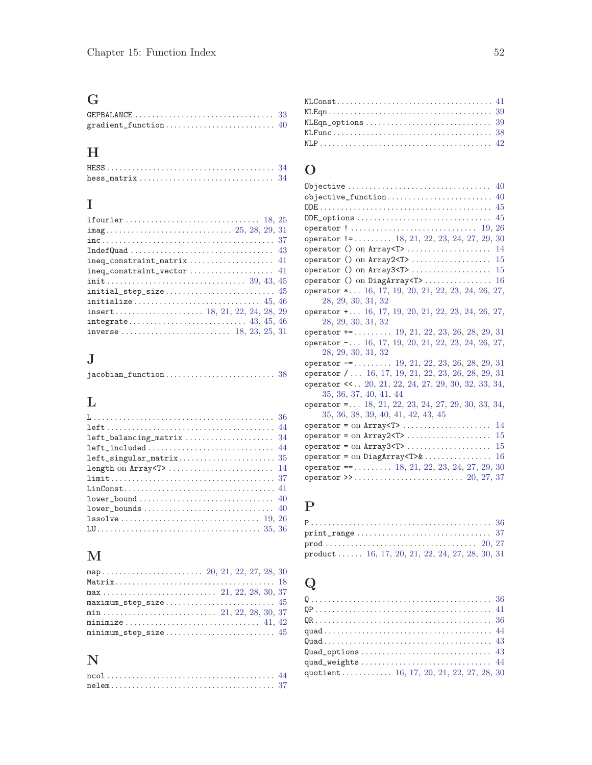# G

| GEPBALANCE $\ldots \ldots \ldots \ldots \ldots \ldots \ldots \ldots \ldots$ |  |
|-----------------------------------------------------------------------------|--|
|                                                                             |  |

# H

| $hess_matrix \ldots \ldots \ldots \ldots \ldots \ldots \ldots \ldots \ldots 34$ |  |
|---------------------------------------------------------------------------------|--|

# I

| $integrate \ldots \ldots \ldots \ldots \ldots \ldots \ldots \ldots \ldots \ldots \ldots \quad 43, 45, 46$ |  |
|-----------------------------------------------------------------------------------------------------------|--|
|                                                                                                           |  |
|                                                                                                           |  |

# J

# L

| left_balancing_matrix  34                                                                   |
|---------------------------------------------------------------------------------------------|
| left_included 44                                                                            |
|                                                                                             |
|                                                                                             |
| $\text{limit} \dots \dots \dots \dots \dots \dots \dots \dots \dots \dots \dots \dots \ 37$ |
|                                                                                             |
| $lower-bound \ldots \ldots \ldots \ldots \ldots \ldots \ldots \ldots \ldots \quad 40$       |
|                                                                                             |
|                                                                                             |
|                                                                                             |

# M

| minimize  41, 42 |  |  |  |
|------------------|--|--|--|
|                  |  |  |  |

# N

| $nelem \ldots \ldots \ldots \ldots \ldots \ldots \ldots \ldots \ldots \ldots \ldots \ldots 37$ |  |  |  |  |  |  |  |  |  |  |  |  |  |  |  |  |  |  |  |
|------------------------------------------------------------------------------------------------|--|--|--|--|--|--|--|--|--|--|--|--|--|--|--|--|--|--|--|

| $\texttt{NLConst} \dots \dots \dots \dots \dots \dots \dots \dots \dots \dots \dots \ 41$ |  |
|-------------------------------------------------------------------------------------------|--|
|                                                                                           |  |
| $NLEqn\_options \dots \dots \dots \dots \dots \dots \dots \dots \dots \dots \ 39$         |  |
|                                                                                           |  |
|                                                                                           |  |
|                                                                                           |  |

## O

| Objective<br>40                                                  |
|------------------------------------------------------------------|
| objective_function<br>40                                         |
| 45                                                               |
| 45<br>ODE_options                                                |
| 26<br>operator !  19,                                            |
| operator $!=\ldots \ldots \ldots 18, 21, 22, 23, 24, 27, 29, 30$ |
| 14<br>operator () on Array <t> </t>                              |
| 15<br>operator () on $Array2 < T$ >                              |
| operator () on $Array3 < T$ ><br>15                              |
| operator () on DiagArray <t><br/>16</t>                          |
| operator * 16, 17, 19, 20, 21, 22, 23, 24, 26, 27,               |
| 28, 29, 30, 31, 32                                               |
| operator $+ \ldots 16, 17, 19, 20, 21, 22, 23, 24, 26, 27,$      |
| 28, 29, 30, 31, 32                                               |
| operator $+=$ 19, 21, 22, 23, 26, 28, 29, 31                     |
| operator $- \ldots 16, 17, 19, 20, 21, 22, 23, 24, 26, 27,$      |
| 28, 29, 30, 31, 32                                               |
| operator $-$ = 19, 21, 22, 23, 26, 28, 29, 31                    |
| operator $/ \ldots 16, 17, 19, 21, 22, 23, 26, 28, 29, 31$       |
| operator $\lt\lt$ 20, 21, 22, 24, 27, 29, 30, 32, 33, 34,        |
| 35, 36, 37, 40, 41, 44                                           |
| operator = $18, 21, 22, 23, 24, 27, 29, 30, 33, 34,$             |
| 35, 36, 38, 39, 40, 41, 42, 43, 45                               |
| 14<br>$operator = on Array T \dots \dots \dots \dots$            |
| 15<br>$operator = on Array2 \top $                               |
| $operator = on Array3 \rightarrow $<br>15                        |
| 16<br>operator = on DiagArray < $T > &$                          |
| 30<br>$operator = 518, 21, 22, 23, 24, 27, 29,$                  |
|                                                                  |

# P

| $\texttt{print\_range} \dots \dots \dots \dots \dots \dots \dots \dots \dots \ 37$ |  |  |  |
|------------------------------------------------------------------------------------|--|--|--|
|                                                                                    |  |  |  |
| product  16, 17, 20, 21, 22, 24, 27, 28, 30, 31                                    |  |  |  |

# Q

| $\mathtt{Quad} \ldots \ldots \ldots \ldots \ldots \ldots \ldots \ldots \ldots \ldots \ldots \ldots \quad 43$ |  |
|--------------------------------------------------------------------------------------------------------------|--|
| $\mathtt{Quad\_options} \dots \dots \dots \dots \dots \dots \dots \dots \dots \dots \ 43$                    |  |
| quad_weights  44                                                                                             |  |
| quotient 16, 17, 20, 21, 22, 27, 28, 30                                                                      |  |